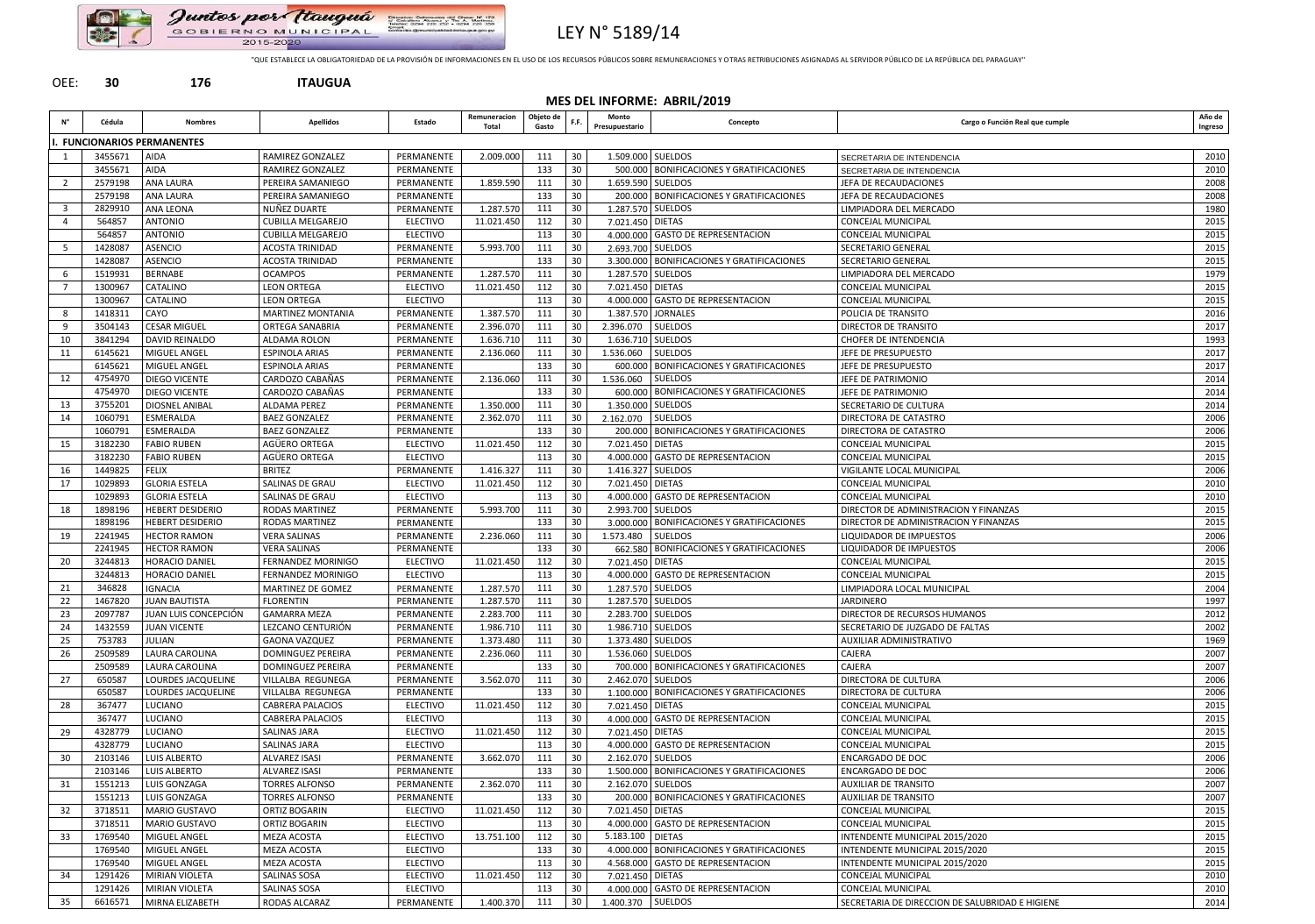

Juntos por Itauguá Direccion: Defensante del Chaso Nº 170<br>d'Octobre 1994-2001 y The A. Martinse<br>Talebre 1994-200 202 - 0234-200 336<br>Contactor:DimensionNeddellangua.com 2015-2020



"QUE ESTABLECE LA OBLIGATORIEDAD DE LA PROVISIÓN DE INFORMACIONES EN EL USO DE LOS RECURSOS PÚBLICOS SOBRE REMUNERACIONES Y OTRAS RETRIBUCIONES ASIGNADAS AL SERVIDOR PÚBLICO DE LA REPÚBLICA DEL PARAGUAY"

## OEE: **30 176 ITAUGUA**

**MES DEL INFORME: ABRIL/2019**

|                 | Cédula  | <b>Nombres</b>              | <b>Apellidos</b>          | Estado          | Remuneracion<br>Total | Objeto de<br>Gasto | F.F. | Monto<br>Presupuestario | Concepto                                     | Cargo o Función Real que cumple                 | Año de<br>Ingreso |
|-----------------|---------|-----------------------------|---------------------------|-----------------|-----------------------|--------------------|------|-------------------------|----------------------------------------------|-------------------------------------------------|-------------------|
|                 |         | I. FUNCIONARIOS PERMANENTES |                           |                 |                       |                    |      |                         |                                              |                                                 |                   |
|                 | 3455671 | <b>AIDA</b>                 | <b>RAMIREZ GONZALEZ</b>   | PERMANENTE      | 2.009.000             | 111                | 30   | 1.509.000               | <b>SUELDOS</b>                               | SECRETARIA DE INTENDENCIA                       | 2010              |
|                 | 3455671 | AIDA                        | RAMIREZ GONZALEZ          | PERMANENTE      |                       | 133                | 30   |                         | 500.000 BONIFICACIONES Y GRATIFICACIONES     | SECRETARIA DE INTENDENCIA                       | 2010              |
|                 | 2579198 | <b>ANA LAURA</b>            | PEREIRA SAMANIEGO         | PERMANENTE      | 1.859.590             | 111                | 30   |                         | 1.659.590 SUELDOS                            | JEFA DE RECAUDACIONES                           | 2008              |
|                 | 2579198 | <b>ANA LAURA</b>            | PEREIRA SAMANIEGO         | PERMANENTE      |                       | 133                | 30   |                         | 200.000   BONIFICACIONES Y GRATIFICACIONES   | JEFA DE RECAUDACIONES                           | 2008              |
|                 | 2829910 | ANA LEONA                   | NUÑEZ DUARTE              | PERMANENTE      | 1.287.570             | 111                | 30   |                         | 1.287.570 SUELDOS                            | LIMPIADORA DEL MERCADO                          | 1980              |
|                 | 564857  | <b>ANTONIO</b>              | <b>CUBILLA MELGAREJO</b>  | <b>ELECTIVO</b> | 11.021.450            | 112                | 30   | 7.021.450 DIETAS        |                                              | CONCEJAL MUNICIPAL                              | 2015              |
|                 | 564857  | <b>ANTONIO</b>              | <b>CUBILLA MELGAREJO</b>  | <b>ELECTIVO</b> |                       | 113                | 30   |                         | 4.000.000 GASTO DE REPRESENTACION            | CONCEJAL MUNICIPAL                              | 2015              |
|                 | 1428087 | ASENCIO                     | <b>ACOSTA TRINIDAD</b>    | PERMANENTE      | 5.993.700             | 111                | 30   |                         | 2.693.700 SUELDOS                            | SECRETARIO GENERAL                              | 2015              |
|                 | 1428087 | ASENCIO                     | <b>ACOSTA TRINIDAD</b>    | PERMANENTE      |                       | 133                | 30   |                         | 3.300.000   BONIFICACIONES Y GRATIFICACIONES | SECRETARIO GENERAL                              | 2015              |
|                 | 1519931 | <b>BERNABE</b>              | <b>OCAMPOS</b>            | PERMANENTE      | 1.287.570             | 111                | 30   |                         | 1.287.570 SUELDOS                            | LIMPIADORA DEL MERCADO                          | 1979              |
|                 | 1300967 | CATALINO                    | <b>LEON ORTEGA</b>        | <b>ELECTIVO</b> | 11.021.450            | 112                | 30   | 7.021.450 DIETAS        |                                              | CONCEJAL MUNICIPAL                              | 2015              |
|                 | 1300967 | CATALINO                    | <b>LEON ORTEGA</b>        | <b>ELECTIVO</b> |                       | 113                | 30   |                         | 4.000.000 GASTO DE REPRESENTACION            | <b>CONCEJAL MUNICIPAL</b>                       | 2015              |
|                 | 1418311 | CAYO                        | <b>MARTINEZ MONTANIA</b>  | PERMANENTE      | 1.387.570             | 111                | 30   |                         | 1.387.570 JORNALES                           | POLICIA DE TRANSITO                             | 2016              |
|                 | 3504143 | <b>CESAR MIGUEL</b>         | ORTEGA SANABRIA           | PERMANENTE      | 2.396.070             | 111                | 30   | 2.396.070 SUELDOS       |                                              | DIRECTOR DE TRANSITO                            | 2017              |
| 10              | 3841294 | <b>DAVID REINALDO</b>       | ALDAMA ROLON              | PERMANENTE      | 1.636.710             | 111                | 30   |                         | 1.636.710 SUELDOS                            | CHOFER DE INTENDENCIA                           | 1993              |
| 11              | 6145621 | MIGUEL ANGEL                | <b>ESPINOLA ARIAS</b>     | PERMANENTE      | 2.136.060             | 111                | 30   | 1.536.060               | <b>SUELDOS</b>                               | JEFE DE PRESUPUESTO                             | 2017              |
|                 | 6145621 | MIGUEL ANGEL                | <b>ESPINOLA ARIAS</b>     | PERMANENTE      |                       | 133                | 30   |                         | 600.000   BONIFICACIONES Y GRATIFICACIONES   | JEFE DE PRESUPUESTO                             | 2017              |
| 12              | 4754970 | <b>DIEGO VICENTE</b>        | CARDOZO CABAÑAS           | PERMANENTE      | 2.136.060             | 111                | 30   | 1.536.060               | <b>SUELDOS</b>                               | JEFE DE PATRIMONIO                              | 2014              |
|                 | 4754970 | DIEGO VICENTE               | CARDOZO CABAÑAS           | PERMANENTE      |                       | 133                | 30   | 600.000                 | <b>BONIFICACIONES Y GRATIFICACIONES</b>      | JEFE DE PATRIMONIO                              | 2014              |
| 13              | 3755201 | <b>DIOSNEL ANIBAL</b>       | <b>ALDAMA PEREZ</b>       | PERMANENTE      | 1.350.000             | 111                | 30   | 1.350.000               | <b>SUELDOS</b>                               | SECRETARIO DE CULTURA                           | 2014              |
| 14              | 1060791 | ESMERALDA                   | <b>BAEZ GONZALEZ</b>      | PERMANENTE      | 2.362.070             | 111                | 30   | 2.162.070 SUELDOS       |                                              | DIRECTORA DE CATASTRO                           | 2006              |
|                 | 1060791 | ESMERALDA                   | <b>BAEZ GONZALEZ</b>      | PERMANENTE      |                       | 133                | 30   |                         | 200.000 BONIFICACIONES Y GRATIFICACIONES     | DIRECTORA DE CATASTRO                           | 2006              |
| 15              | 3182230 | <b>FABIO RUBEN</b>          | AGÜERO ORTEGA             | <b>ELECTIVO</b> | 11.021.450            | 112                | 30   | 7.021.450 DIETAS        |                                              | CONCEJAL MUNICIPAL                              | 2015              |
|                 | 3182230 | <b>FABIO RUBEN</b>          | AGÜERO ORTEGA             | <b>ELECTIVO</b> |                       | 113                | 30   |                         | 4.000.000 GASTO DE REPRESENTACION            | CONCEJAL MUNICIPAL                              | 2015              |
| 16              | 1449825 | <b>FELIX</b>                | <b>BRITEZ</b>             | PERMANENTE      | 1.416.327             | 111                | 30   |                         | 1.416.327 SUELDOS                            | VIGILANTE LOCAL MUNICIPAL                       | 2006              |
| 17              | 1029893 | <b>GLORIA ESTELA</b>        | SALINAS DE GRAU           | <b>ELECTIVO</b> | 11.021.450            | 112                | 30   | 7.021.450 DIETAS        |                                              | CONCEJAL MUNICIPAL                              | 2010              |
|                 | 1029893 | <b>GLORIA ESTELA</b>        | SALINAS DE GRAU           | <b>ELECTIVO</b> |                       | 113                | 30   |                         | 4.000.000 GASTO DE REPRESENTACION            | <b>CONCEJAL MUNICIPAL</b>                       | 2010              |
| 18              | 1898196 | <b>HEBERT DESIDERIO</b>     | <b>RODAS MARTINEZ</b>     | PERMANENTE      | 5.993.700             | 111                | 30   |                         | 2.993.700 SUELDOS                            | DIRECTOR DE ADMINISTRACION Y FINANZAS           | 2015              |
|                 | 1898196 | <b>HEBERT DESIDERIO</b>     | <b>RODAS MARTINEZ</b>     | PERMANENTE      |                       | 133                | 30   | 3.000.000               | <b>BONIFICACIONES Y GRATIFICACIONES</b>      | DIRECTOR DE ADMINISTRACION Y FINANZAS           | 2015              |
| 19              | 2241945 | <b>HECTOR RAMON</b>         | <b>VERA SALINAS</b>       | PERMANENTE      | 2.236.060             | 111                | 30   | 1.573.480               | <b>SUELDOS</b>                               | LIQUIDADOR DE IMPUESTOS                         | 2006              |
|                 | 2241945 | <b>HECTOR RAMON</b>         | <b>VERA SALINAS</b>       | PERMANENTE      |                       | 133                | 30   |                         | 662.580 BONIFICACIONES Y GRATIFICACIONES     | LIQUIDADOR DE IMPUESTOS                         | 2006              |
| 20              | 3244813 | <b>HORACIO DANIEL</b>       | <b>FERNANDEZ MORINIGO</b> | <b>ELECTIVO</b> | 11.021.450            | 112                | 30   | 7.021.450 DIETAS        |                                              | CONCEJAL MUNICIPAL                              | 2015              |
|                 | 3244813 | <b>HORACIO DANIEL</b>       | FERNANDEZ MORINIGO        | <b>ELECTIVO</b> |                       | 113                | 30   |                         | 4.000.000 GASTO DE REPRESENTACION            | CONCEJAL MUNICIPAL                              | 2015              |
| 21              | 346828  | IGNACIA                     | MARTINEZ DE GOMEZ         | PERMANENTE      | 1.287.570             | 111                | 30   |                         | 1.287.570 SUELDOS                            | LIMPIADORA LOCAL MUNICIPAL                      | 2004              |
| 22              | 1467820 | <b>JUAN BAUTISTA</b>        | <b>FLORENTIN</b>          | PERMANENTE      | 1.287.570             | 111                | 30   |                         | 1.287.570 SUELDOS                            | <b>JARDINERO</b>                                | 1997              |
| 23              | 2097787 | JUAN LUIS CONCEPCIÓN        | <b>GAMARRA MEZA</b>       | PERMANENTE      | 2.283.700             | 111                | 30   |                         | 2.283.700 SUELDOS                            | DIRECTOR DE RECURSOS HUMANOS                    | 2012              |
| 24              | 1432559 | <b>JUAN VICENTE</b>         | LEZCANO CENTURIÓN         | PERMANENTE      | 1.986.710             | 111                | 30   |                         | 1.986.710 SUELDOS                            | SECRETARIO DE JUZGADO DE FALTAS                 | 2002              |
| 25              | 753783  | <b>JULIAN</b>               | <b>GAONA VAZQUEZ</b>      | PERMANENTE      | 1.373.480             | 111                | 30   |                         | 1.373.480 SUELDOS                            | AUXILIAR ADMINISTRATIVO                         | 1969              |
| 26              | 2509589 | LAURA CAROLINA              | DOMINGUEZ PEREIRA         | PERMANENTE      | 2.236.060             | 111                | 30   |                         | 1.536.060 SUELDOS                            | CAJERA                                          | 2007              |
|                 | 2509589 | <b>LAURA CAROLINA</b>       | DOMINGUEZ PEREIRA         | PERMANENTE      |                       | 133                | 30   |                         | 700.000 BONIFICACIONES Y GRATIFICACIONES     | CAJERA                                          | 2007              |
| 27              | 650587  | LOURDES JACQUELINE          | <b>VILLALBA REGUNEGA</b>  | PERMANENTE      | 3.562.070             | 111                | 30   |                         | 2.462.070 SUELDOS                            | DIRECTORA DE CULTURA                            | 2006              |
|                 | 650587  | LOURDES JACQUELINE          | VILLALBA REGUNEGA         | PERMANENTE      |                       | 133                | 30   |                         | 1.100.000 BONIFICACIONES Y GRATIFICACIONES   | DIRECTORA DE CULTURA                            | 2006              |
| 28              | 367477  | LUCIANO                     | <b>CABRERA PALACIOS</b>   | <b>ELECTIVO</b> | 11.021.450            | 112                | 30   | 7.021.450 DIETAS        |                                              | CONCEJAL MUNICIPAL                              | 2015              |
|                 | 367477  | LUCIANO                     | <b>CABRERA PALACIOS</b>   | <b>ELECTIVO</b> |                       | 113                | 30   |                         | 4.000.000 GASTO DE REPRESENTACION            | <b>CONCEJAL MUNICIPAL</b>                       | 2015              |
| 29              | 4328779 | LUCIANO                     | <b>SALINAS JARA</b>       | <b>ELECTIVO</b> | 11.021.450            | 112                | 30   | 7.021.450 DIETAS        |                                              | CONCEJAL MUNICIPAL                              | 2015              |
|                 | 4328779 | LUCIANO                     | SALINAS JARA              | <b>ELECTIVO</b> |                       | 113                | 30   |                         | 4.000.000 GASTO DE REPRESENTACION            | CONCEJAL MUNICIPAL                              | 2015              |
| 30 <sup>°</sup> | 2103146 | LUIS ALBERTO                | <b>ALVAREZ ISASI</b>      | PERMANENTE      | 3.662.070             | 111                | 30   |                         | 2.162.070 SUELDOS                            | <b>ENCARGADO DE DOC</b>                         | 2006              |
|                 | 2103146 | LUIS ALBERTO                | <b>ALVAREZ ISASI</b>      | PERMANENTE      |                       | 133                | 30   |                         | 1.500.000   BONIFICACIONES Y GRATIFICACIONES | ENCARGADO DE DOC                                | 2006              |
| 31              | 1551213 | LUIS GONZAGA                | <b>TORRES ALFONSO</b>     | PERMANENTE      | 2.362.070             | 111                | 30   |                         | 2.162.070 SUELDOS                            | <b>AUXILIAR DE TRANSITO</b>                     | 2007              |
|                 | 1551213 | LUIS GONZAGA                | <b>TORRES ALFONSO</b>     | PERMANENTE      |                       | 133                | 30   |                         | 200.000 BONIFICACIONES Y GRATIFICACIONES     | <b>AUXILIAR DE TRANSITO</b>                     | 2007              |
| 32              | 3718511 | <b>MARIO GUSTAVO</b>        | ORTIZ BOGARIN             | <b>ELECTIVO</b> | 11.021.450            | 112                | 30   | 7.021.450 DIETAS        |                                              | <b>CONCEJAL MUNICIPAL</b>                       | 2015              |
|                 | 3718511 | <b>MARIO GUSTAVO</b>        | ORTIZ BOGARIN             | <b>ELECTIVO</b> |                       | 113                | 30   |                         | 4.000.000 GASTO DE REPRESENTACION            | CONCEJAL MUNICIPAL                              | 2015              |
| 33              | 1769540 | MIGUEL ANGEL                | MEZA ACOSTA               | <b>ELECTIVO</b> | 13.751.100            | 112                | 30   | 5.183.100 DIETAS        |                                              | INTENDENTE MUNICIPAL 2015/2020                  | 2015              |
|                 | 1769540 | MIGUEL ANGEL                | MEZA ACOSTA               | <b>ELECTIVO</b> |                       | 133                | 30   |                         | 4.000.000 BONIFICACIONES Y GRATIFICACIONES   | INTENDENTE MUNICIPAL 2015/2020                  | 2015              |
|                 | 1769540 | MIGUEL ANGEL                | <b>MEZA ACOSTA</b>        | <b>ELECTIVO</b> |                       | 113                | 30   |                         | 4.568.000 GASTO DE REPRESENTACION            | INTENDENTE MUNICIPAL 2015/2020                  | 2015              |
| 34              | 1291426 | MIRIAN VIOLETA              | SALINAS SOSA              | <b>ELECTIVO</b> | 11.021.450            | 112                | 30   | 7.021.450 DIETAS        |                                              | CONCEJAL MUNICIPAL                              | 2010              |
|                 | 1291426 | MIRIAN VIOLETA              | SALINAS SOSA              | <b>ELECTIVO</b> |                       | 113                | 30   |                         | 4.000.000 GASTO DE REPRESENTACION            | CONCEJAL MUNICIPAL                              | 2010              |
| 35              | 6616571 | MIRNA ELIZABETH             | RODAS ALCARAZ             | PERMANENTE      | 1.400.370             | 111                | 30   | 1.400.370 SUELDOS       |                                              | SECRETARIA DE DIRECCION DE SALUBRIDAD E HIGIENE | 2014              |

| Cargo o Función Real que cumple | Año de<br>Ingreso |
|---------------------------------|-------------------|
|---------------------------------|-------------------|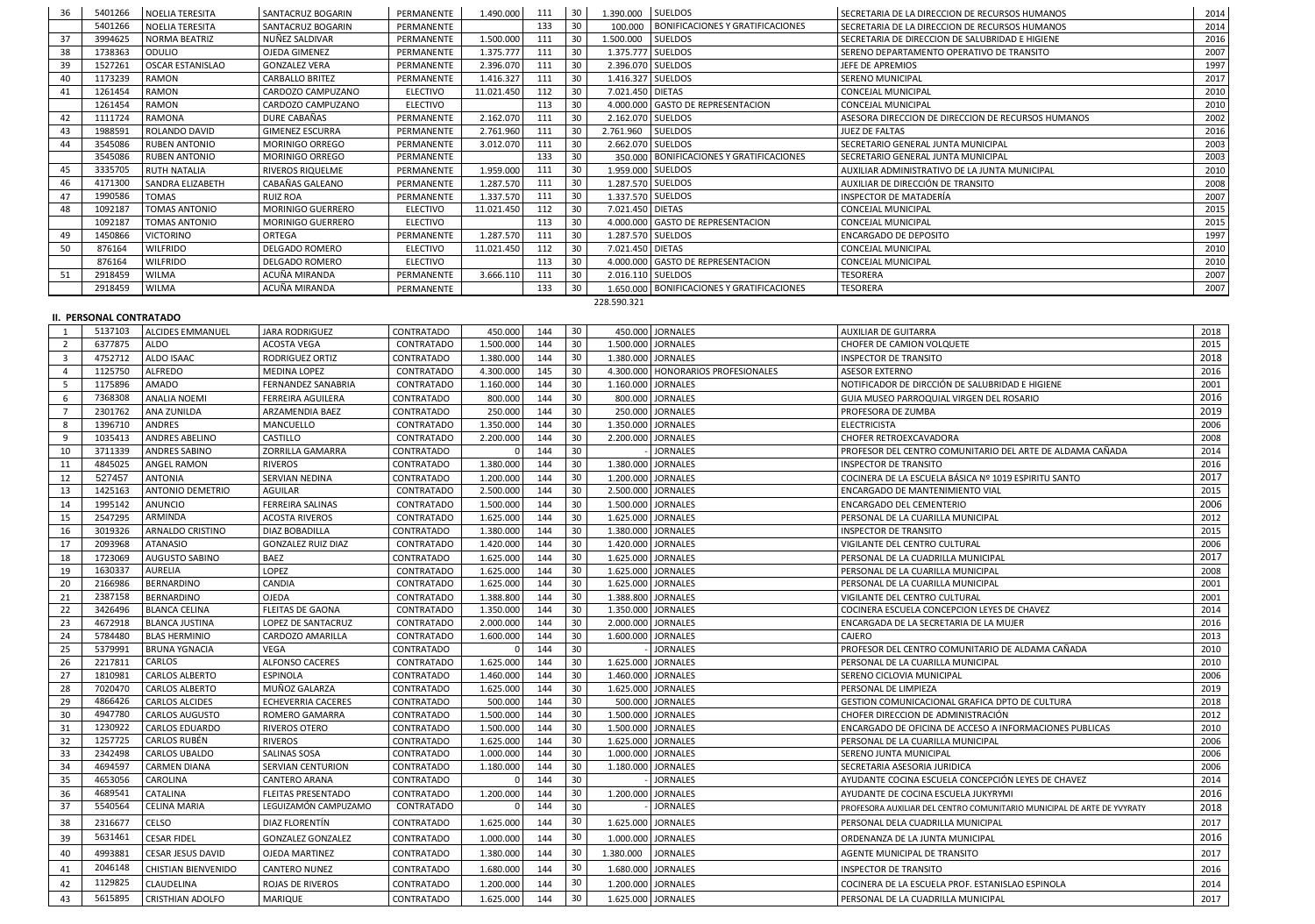| 36 | 5401266 | NOELIA TERESITA         | <b>SANTACRUZ BOGARIN</b> | PERMANENTE      | 1.490.000  | 111 | 30 | 1.390.000         | <b>SUELDOS</b>                                            | SECRETARIA DE LA DIRECCION DE RECURSOS HUMANOS     | 2014 |
|----|---------|-------------------------|--------------------------|-----------------|------------|-----|----|-------------------|-----------------------------------------------------------|----------------------------------------------------|------|
|    | 5401266 | <b>NOELIA TERESITA</b>  | <b>SANTACRUZ BOGARIN</b> | PERMANENTE      |            | 133 | 30 |                   | 100.000   BONIFICACIONES Y GRATIFICACIONES                | l SECRETARIA DE LA DIRECCION DE RECURSOS HUMANOS   | 2014 |
| 37 | 3994625 | NORMA BEATRIZ           | NUÑEZ SALDIVAR           | PERMANENTE      | 1.500.000  | 111 | 30 | 1.500.000         | SUELDOS                                                   | I SECRETARIA DE DIRECCION DE SALUBRIDAD E HIGIENE  | 2016 |
| 38 | 1738363 | ODULIO                  | OJEDA GIMENEZ            | PERMANENTE      | 1.375.777  | 111 | 30 | 1.375.777 SUELDOS | l SERENO DEPARTAMENTO OPERATIVO DE TRANSITO               |                                                    | 2007 |
| 39 | 1527261 | OSCAR ESTANISLAO        | <b>GONZALEZ VERA</b>     | PERMANENTE      | 2.396.070  | 111 | 30 |                   | 2.396.070 SUELDOS                                         | LJEFE DE APREMIOS                                  | 1997 |
| 40 | 1173239 | RAMON                   | <b>CARBALLO BRITEZ</b>   | PERMANENTE      | 1.416.327  | 111 | 30 |                   | 1.416.327 SUELDOS                                         | <b>SERENO MUNICIPAL</b>                            | 2017 |
| 41 | 1261454 | RAMON                   | CARDOZO CAMPUZANO        | <b>ELECTIVO</b> | 11.021.450 | 112 | 30 | 7.021.450 DIETAS  |                                                           | l CONCEJAL MUNICIPAL                               | 2010 |
|    | 1261454 | RAMON                   | CARDOZO CAMPUZANO        | <b>ELECTIVO</b> |            | 113 | 30 |                   | 4.000.000 GASTO DE REPRESENTACION                         | CONCEJAL MUNICIPAL                                 | 2010 |
| 42 | 1111724 | RAMONA                  | DURE CABAÑAS             | PERMANENTE      | 2.162.070  | 111 | 30 |                   | 2.162.070 SUELDOS                                         | ASESORA DIRECCION DE DIRECCION DE RECURSOS HUMANOS | 2002 |
| 43 | 1988591 | ROLANDO DAVID           | <b>GIMENEZ ESCURRA</b>   | PERMANENTE      | 2.761.960  | 111 | 30 | 2.761.960         | <b>SUELDOS</b>                                            | <b>JUEZ DE FALTAS</b>                              | 2016 |
| 44 | 3545086 | <b>RUBEN ANTONIO</b>    | MORINIGO ORREGO          | PERMANENTE      | 3.012.070  | 111 | 30 |                   | 2.662.070 SUELDOS<br>  SECRETARIO GENERAL JUNTA MUNICIPAL |                                                    | 2003 |
|    | 3545086 | <b>RUBEN ANTONIO</b>    | <b>MORINIGO ORREGO</b>   | PERMANENTE      |            | 133 | 30 |                   | 350.000 BONIFICACIONES Y GRATIFICACIONES                  | SECRETARIO GENERAL JUNTA MUNICIPAL                 | 2003 |
| 45 | 3335705 | <b>RUTH NATALIA</b>     | <b>RIVEROS RIQUELME</b>  | PERMANENTE      | 1.959.000  | 111 | 30 |                   | 1.959.000 SUELDOS                                         | AUXILIAR ADMINISTRATIVO DE LA JUNTA MUNICIPAL      | 2010 |
| 46 | 4171300 | <b>SANDRA ELIZABETH</b> | CABAÑAS GALEANO          | PERMANENTE      | 1.287.570  | 111 | 30 |                   | 1.287.570 SUELDOS                                         | AUXILIAR DE DIRECCIÓN DE TRANSITO                  | 2008 |
| 47 | 1990586 | TOMAS                   | <b>RUIZ ROA</b>          | PERMANENTE      | 1.337.570  | 111 | 30 |                   | 1.337.570 SUELDOS                                         | <b>INSPECTOR DE MATADERÍA</b>                      | 2007 |
| 48 | 1092187 | <b>TOMAS ANTONIO</b>    | <b>MORINIGO GUERRERO</b> | <b>ELECTIVO</b> | 11.021.450 | 112 | 30 | 7.021.450 DIETAS  |                                                           | CONCEJAL MUNICIPAL                                 | 2015 |
|    | 1092187 | <b>TOMAS ANTONIO</b>    | <b>MORINIGO GUERRERO</b> | <b>ELECTIVO</b> |            | 113 | 30 |                   | 4.000.000 GASTO DE REPRESENTACION                         | CONCEJAL MUNICIPAL                                 | 2015 |
| 49 | 1450866 | <b>VICTORINO</b>        | <b>ORTEGA</b>            | PERMANENTE      | 1.287.570  | 111 | 30 |                   | 1.287.570 SUELDOS                                         | <b>ENCARGADO DE DEPOSITO</b>                       | 1997 |
| 50 | 876164  | <b>WILFRIDO</b>         | <b>DELGADO ROMERO</b>    | <b>ELECTIVO</b> | 11.021.450 | 112 | 30 | 7.021.450 DIETAS  |                                                           | <b>CONCEJAL MUNICIPAL</b>                          | 2010 |
|    | 876164  | <b>WILFRIDO</b>         | DELGADO ROMERO           | <b>ELECTIVO</b> |            | 113 | 30 |                   | 4.000.000 GASTO DE REPRESENTACION                         | <b>CONCEJAL MUNICIPAL</b>                          | 2010 |
| 51 | 2918459 | WILMA                   | ACUÑA MIRANDA            | PERMANENTE      | 3.666.110  | 111 | 30 |                   | 2.016.110 SUELDOS                                         | TESORERA                                           | 2007 |
|    | 2918459 | <b>WILMA</b>            | ACUÑA MIRANDA            | PERMANENTE      |            | 133 | 30 |                   | 1.650.000   BONIFICACIONES Y GRATIFICACIONES              | <b>TESORERA</b>                                    | 2007 |

228.590.321

## **II. PERSONAL CONTRATADO**

|                         | $\ldots$ . Ensure continuing |                            |                           |                   |           |     |    |           |                                      |                                                                        |      |
|-------------------------|------------------------------|----------------------------|---------------------------|-------------------|-----------|-----|----|-----------|--------------------------------------|------------------------------------------------------------------------|------|
|                         | 5137103                      | <b>ALCIDES EMMANUEL</b>    | <b>JARA RODRIGUEZ</b>     | <b>CONTRATADO</b> | 450.000   | 144 | 30 |           | 450.000 JORNALES                     | <b>AUXILIAR DE GUITARRA</b>                                            | 2018 |
| $\overline{2}$          | 6377875                      | ALDO                       | <b>ACOSTA VEGA</b>        | CONTRATADO        | 1.500.000 | 144 | 30 |           | 1.500.000 JORNALES                   | CHOFER DE CAMION VOLQUETE                                              | 2015 |
| $\overline{\mathbf{3}}$ | 4752712                      | ALDO ISAAC                 | RODRIGUEZ ORTIZ           | <b>CONTRATADO</b> | 1.380.000 | 144 | 30 |           | 1.380.000 JORNALES                   | <b>INSPECTOR DE TRANSITO</b>                                           | 2018 |
|                         | 1125750                      | <b>ALFREDO</b>             | <b>MEDINA LOPEZ</b>       | CONTRATADO        | 4.300.000 | 145 | 30 |           | 4.300.000   HONORARIOS PROFESIONALES | <b>ASESOR EXTERNO</b>                                                  | 2016 |
| -5                      | 1175896                      | <b>AMADO</b>               | <b>FERNANDEZ SANABRIA</b> | CONTRATADO        | 1.160.000 | 144 | 30 |           | 1.160.000 JORNALES                   | NOTIFICADOR DE DIRCCIÓN DE SALUBRIDAD E HIGIENE                        | 2001 |
|                         | 7368308                      | <b>ANALIA NOEMI</b>        | FERREIRA AGUILERA         | CONTRATADO        | 800.000   | 144 | 30 |           | 800.000 JORNALES                     | GUIA MUSEO PARROQUIAL VIRGEN DEL ROSARIO                               | 2016 |
|                         | 2301762                      | <b>ANA ZUNILDA</b>         | ARZAMENDIA BAEZ           | <b>CONTRATADO</b> | 250.000   | 144 | 30 |           | 250.000 JORNALES                     | PROFESORA DE ZUMBA                                                     | 2019 |
| -8                      | 1396710                      | ANDRES                     | MANCUELLO                 | CONTRATADO        | 1.350.000 | 144 | 30 |           | 1.350.000 JORNALES                   | <b>ELECTRICISTA</b>                                                    | 2006 |
| 9                       | 1035413                      | ANDRES ABELINO             | CASTILLO                  | CONTRATADO        | 2.200.000 | 144 | 30 |           | 2.200.000 JORNALES                   | CHOFER RETROEXCAVADORA                                                 | 2008 |
| 10                      | 3711339                      | <b>ANDRES SABINO</b>       | ZORRILLA GAMARRA          | CONTRATADO        |           | 144 | 30 |           | <b>JORNALES</b>                      | PROFESOR DEL CENTRO COMUNITARIO DEL ARTE DE ALDAMA CAÑADA              | 2014 |
| 11                      | 4845025                      | <b>ANGEL RAMON</b>         | <b>RIVEROS</b>            | <b>CONTRATADO</b> | 1.380.000 | 144 | 30 |           | 1.380.000 JORNALES                   | <b>INSPECTOR DE TRANSITO</b>                                           | 2016 |
| 12                      | 527457                       | <b>ANTONIA</b>             | SERVIAN NEDINA            | <b>CONTRATADO</b> | 1.200.000 | 144 | 30 |           | 1.200.000 JORNALES                   | COCINERA DE LA ESCUELA BÁSICA Nº 1019 ESPIRITU SANTO                   | 2017 |
| 13                      | 1425163                      | <b>ANTONIO DEMETRIO</b>    | <b>AGUILAR</b>            | CONTRATADO        | 2.500.000 | 144 | 30 |           | 2.500.000 JORNALES                   | <b>ENCARGADO DE MANTENIMIENTO VIAL</b>                                 | 2015 |
| 14                      | 1995142                      | <b>ANUNCIO</b>             | FERREIRA SALINAS          | <b>CONTRATADO</b> | 1.500.000 | 144 | 30 |           | 1.500.000 JORNALES                   | ENCARGADO DEL CEMENTERIO                                               | 2006 |
| 15                      | 2547295                      | ARMINDA                    | <b>ACOSTA RIVEROS</b>     | CONTRATADO        | 1.625.000 | 144 | 30 |           | 1.625.000 JORNALES                   | PERSONAL DE LA CUARILLA MUNICIPAL                                      | 2012 |
| 16                      | 3019326                      | ARNALDO CRISTINO           | DIAZ BOBADILLA            | CONTRATADO        | 1.380.000 | 144 | 30 |           | 1.380.000 JORNALES                   | <b>INSPECTOR DE TRANSITO</b>                                           | 2015 |
| 17                      | 2093968                      | ATANASIO                   | <b>GONZALEZ RUIZ DIAZ</b> | CONTRATADO        | 1.420.000 | 144 | 30 |           | 1.420.000 JORNALES                   | VIGILANTE DEL CENTRO CULTURAL                                          | 2006 |
| 18                      | 1723069                      | AUGUSTO SABINO             | <b>BAEZ</b>               | CONTRATADO        | 1.625.000 | 144 | 30 |           | 1.625.000 JORNALES                   | PERSONAL DE LA CUADRILLA MUNICIPAL                                     | 2017 |
| 19                      | 1630337                      | <b>AURELIA</b>             | <b>LOPEZ</b>              | CONTRATADO        | 1.625.000 | 144 | 30 |           | 1.625.000 JORNALES                   | PERSONAL DE LA CUARILLA MUNICIPAL                                      | 2008 |
| 20                      | 2166986                      | <b>BERNARDINO</b>          | CANDIA                    | CONTRATADO        | 1.625.000 | 144 | 30 |           | 1.625.000 JORNALES                   | PERSONAL DE LA CUARILLA MUNICIPAL                                      | 2001 |
| 21                      | 2387158                      | BERNARDINO                 | <b>OJEDA</b>              | <b>CONTRATADO</b> | 1.388.800 | 144 | 30 |           | 1.388.800 JORNALES                   | VIGILANTE DEL CENTRO CULTURAL                                          | 2001 |
| 22                      | 3426496                      | <b>BLANCA CELINA</b>       | <b>FLEITAS DE GAONA</b>   | <b>CONTRATADO</b> | 1.350.000 | 144 | 30 |           | 1.350.000 JORNALES                   | COCINERA ESCUELA CONCEPCION LEYES DE CHAVEZ                            | 2014 |
| 23                      | 4672918                      | <b>BLANCA JUSTINA</b>      | LOPEZ DE SANTACRUZ        | CONTRATADO        | 2.000.000 | 144 | 30 |           | 2.000.000 JORNALES                   | ENCARGADA DE LA SECRETARIA DE LA MUJER                                 | 2016 |
| 24                      | 5784480                      | <b>BLAS HERMINIO</b>       | CARDOZO AMARILLA          | CONTRATADO        | 1.600.000 | 144 | 30 |           | 1.600.000 JORNALES                   | <b>CAJERO</b>                                                          | 2013 |
| 25                      | 5379991                      | <b>BRUNA YGNACIA</b>       | VEGA                      | <b>CONTRATADO</b> |           | 144 | 30 |           | <b>JORNALES</b>                      | PROFESOR DEL CENTRO COMUNITARIO DE ALDAMA CAÑADA                       | 2010 |
| 26                      | 2217811                      | CARLOS                     | <b>ALFONSO CACERES</b>    | CONTRATADO        | 1.625.000 | 144 | 30 |           | 1.625.000 JORNALES                   | PERSONAL DE LA CUARILLA MUNICIPAL                                      | 2010 |
| 27                      | 1810981                      | <b>CARLOS ALBERTO</b>      | <b>ESPINOLA</b>           | <b>CONTRATADO</b> | 1.460.000 | 144 | 30 |           | 1.460.000 JORNALES                   | SERENO CICLOVIA MUNICIPAL                                              | 2006 |
| 28                      | 7020470                      | <b>CARLOS ALBERTO</b>      | MUÑOZ GALARZA             | CONTRATADO        | 1.625.000 | 144 | 30 |           | 1.625.000 JORNALES                   | PERSONAL DE LIMPIEZA                                                   | 2019 |
| 29                      | 4866426                      | <b>CARLOS ALCIDES</b>      | <b>ECHEVERRIA CACERES</b> | <b>CONTRATADO</b> | 500.000   | 144 | 30 |           | 500.000 JORNALES                     | <b>GESTION COMUNICACIONAL GRAFICA DPTO DE CULTURA</b>                  | 2018 |
| 30                      | 4947780                      | CARLOS AUGUSTO             | ROMERO GAMARRA            | <b>CONTRATADO</b> | 1.500.000 | 144 | 30 |           | 1.500.000 JORNALES                   | CHOFER DIRECCION DE ADMINISTRACIÓN                                     | 2012 |
| 31                      | 1230922                      | CARLOS EDUARDO             | <b>RIVEROS OTERO</b>      | <b>CONTRATADO</b> | 1.500.000 | 144 | 30 |           | 1.500.000 JORNALES                   | <b>ENCARGADO DE OFICINA DE ACCESO A INFORMACIONES PUBLICAS</b>         | 2010 |
| 32                      | 1257725                      | <b>CARLOS RUBÉN</b>        | <b>RIVEROS</b>            | CONTRATADO        | 1.625.000 | 144 | 30 | 1.625.000 | <b>JORNALES</b>                      | PERSONAL DE LA CUARILLA MUNICIPAL                                      | 2006 |
| 33                      | 2342498                      | <b>CARLOS UBALDO</b>       | SALINAS SOSA              | <b>CONTRATADO</b> | 1.000.000 | 144 | 30 |           | 1.000.000 JORNALES                   | SERENO JUNTA MUNICIPAL                                                 | 2006 |
| 34                      | 4694597                      | <b>CARMEN DIANA</b>        | <b>SERVIAN CENTURION</b>  | <b>CONTRATADO</b> | 1.180.000 | 144 | 30 |           | 1.180.000 JORNALES                   | SECRETARIA ASESORIA JURIDICA                                           | 2006 |
| 35                      | 4653056                      | CAROLINA                   | <b>CANTERO ARANA</b>      | CONTRATADO        |           | 144 | 30 |           | <b>JORNALES</b>                      | AYUDANTE COCINA ESCUELA CONCEPCIÓN LEYES DE CHAVEZ                     | 2014 |
| 36                      | 4689541                      | CATALINA                   | <b>FLEITAS PRESENTADO</b> | <b>CONTRATADO</b> | 1.200.000 | 144 | 30 |           | 1.200.000 JORNALES                   | AYUDANTE DE COCINA ESCUELA JUKYRYMI                                    | 2016 |
| 37                      | 5540564                      | <b>CELINA MARIA</b>        | LEGUIZAMÓN CAMPUZAMO      | CONTRATADO        |           | 144 | 30 |           | <b>JORNALES</b>                      | PROFESORA AUXILIAR DEL CENTRO COMUNITARIO MUNICIPAL DE ARTE DE YVYRATY | 2018 |
| 38                      | 2316677                      | <b>CELSO</b>               | DIAZ FLORENTÍN            | <b>CONTRATADO</b> | 1.625.000 | 144 | 30 |           | 1.625.000 JORNALES                   | PERSONAL DELA CUADRILLA MUNICIPAL                                      | 2017 |
| 39                      | 5631461                      | <b>CESAR FIDEL</b>         | <b>GONZALEZ GONZALEZ</b>  | <b>CONTRATADO</b> | 1.000.000 | 144 | 30 |           | 1.000.000 JORNALES                   | ORDENANZA DE LA JUNTA MUNICIPAL                                        | 2016 |
| 40                      | 4993881                      | <b>CESAR JESUS DAVID</b>   | <b>OJEDA MARTINEZ</b>     | <b>CONTRATADO</b> | 1.380.000 | 144 | 30 | 1.380.000 | <b>JORNALES</b>                      | AGENTE MUNICIPAL DE TRANSITO                                           | 2017 |
| 41                      | 2046148                      | <b>CHISTIAN BIENVENIDO</b> | <b>CANTERO NUNEZ</b>      | CONTRATADO        | 1.680.000 | 144 | 30 |           | 1.680.000 JORNALES                   | <b>INSPECTOR DE TRANSITO</b>                                           | 2016 |
| 42                      | 1129825                      | CLAUDELINA                 | ROJAS DE RIVEROS          | <b>CONTRATADO</b> | 1.200.000 | 144 | 30 |           | 1.200.000 JORNALES                   | COCINERA DE LA ESCUELA PROF. ESTANISLAO ESPINOLA                       | 2014 |
| 43                      | 5615895                      | <b>CRISTHIAN ADOLFO</b>    | <b>MARIQUE</b>            | <b>CONTRATADO</b> | 1.625.000 | 144 | 30 |           | 1.625.000 JORNALES                   | PERSONAL DE LA CUADRILLA MUNICIPAL                                     | 2017 |
|                         |                              |                            |                           |                   |           |     |    |           |                                      |                                                                        |      |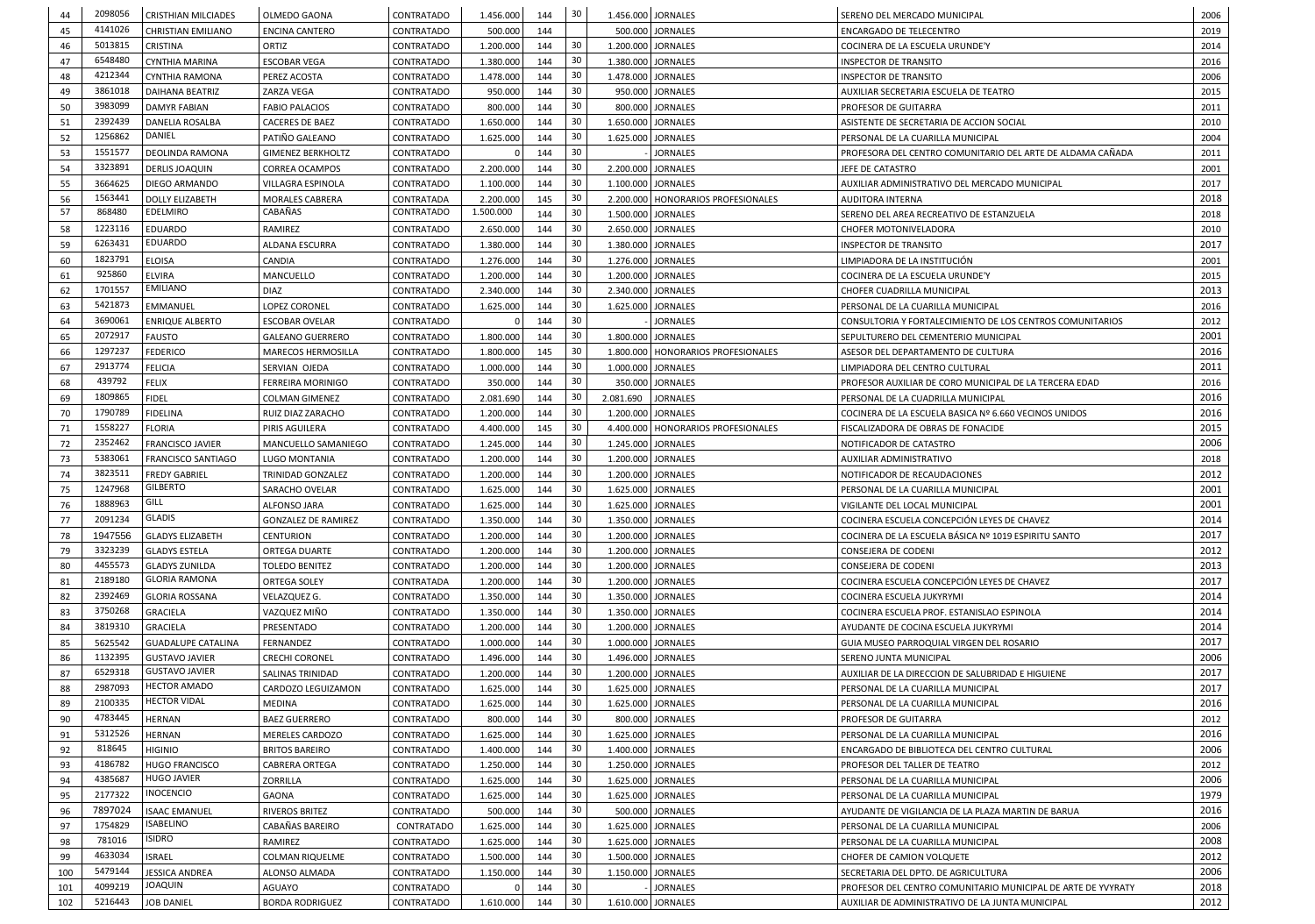| 44       | 2098056            | <b>CRISTHIAN MILCIADES</b>         | <b>OLMEDO GAONA</b>        | CONTRATADO               | 1.456.000              | 144 | 30       |           | 1.456.000 JORNALES<br>SERENO DEL MERCADO MUNICIPAL             |                                                              |      |  |  |
|----------|--------------------|------------------------------------|----------------------------|--------------------------|------------------------|-----|----------|-----------|----------------------------------------------------------------|--------------------------------------------------------------|------|--|--|
| 45       | 4141026            | <b>CHRISTIAN EMILIANO</b>          | <b>ENCINA CANTERO</b>      | CONTRATADO               | 500.000                | 144 |          |           | 500.000 JORNALES                                               | ENCARGADO DE TELECENTRO                                      | 2019 |  |  |
| 46       | 5013815            | <b>CRISTINA</b>                    | ORTIZ                      | CONTRATADO               | 1.200.000              | 144 | 30       |           | 1.200.000 JORNALES                                             | COCINERA DE LA ESCUELA URUNDE'Y                              | 2014 |  |  |
| 47       | 6548480            | CYNTHIA MARINA                     | <b>ESCOBAR VEGA</b>        | CONTRATADO               | 1.380.000              | 144 | 30       |           | 1.380.000 JORNALES                                             | <b>INSPECTOR DE TRANSITO</b>                                 | 2016 |  |  |
| 48       | 4212344            | <b>CYNTHIA RAMONA</b>              | PEREZ ACOSTA               | CONTRATADO               | 1.478.000              | 144 | 30       |           | 1.478.000 JORNALES                                             | <b>INSPECTOR DE TRANSITO</b>                                 | 2006 |  |  |
| 49       | 3861018            | DAIHANA BEATRIZ                    | ZARZA VEGA                 | CONTRATADO               | 950.000                | 144 | 30       |           | 950.000 JORNALES                                               | AUXILIAR SECRETARIA ESCUELA DE TEATRO                        | 2015 |  |  |
| 50       | 3983099            | <b>DAMYR FABIAN</b>                | <b>FABIO PALACIOS</b>      | CONTRATADO               | 800.000                | 144 | 30       |           | 800.000 JORNALES                                               | PROFESOR DE GUITARRA                                         | 2011 |  |  |
| 51       | 2392439            | DANELIA ROSALBA                    | <b>CACERES DE BAEZ</b>     | CONTRATADO               | 1.650.000              | 144 | 30       |           | 1.650.000 JORNALES                                             | ASISTENTE DE SECRETARIA DE ACCION SOCIAL                     | 2010 |  |  |
|          | 1256862            | DANIEL                             | PATIÑO GALEANO             |                          |                        | 144 | 30       |           | 1.625.000 JORNALES                                             | PERSONAL DE LA CUARILLA MUNICIPAL                            | 2004 |  |  |
| 52       | 1551577            | <b>DEOLINDA RAMONA</b>             |                            | CONTRATADO               | 1.625.000              |     | 30       |           | <b>JORNALES</b>                                                | PROFESORA DEL CENTRO COMUNITARIO DEL ARTE DE ALDAMA CAÑADA   |      |  |  |
| 53       | 3323891            |                                    | <b>GIMENEZ BERKHOLTZ</b>   | CONTRATADO               |                        | 144 | -30      |           |                                                                |                                                              | 2011 |  |  |
| 54       |                    | <b>DERLIS JOAQUIN</b>              | <b>CORREA OCAMPOS</b>      | CONTRATADO               | 2.200.000              | 144 |          |           | 2.200.000 JORNALES<br>JEFE DE CATASTRO                         |                                                              | 2001 |  |  |
| 55       | 3664625<br>1563441 | DIEGO ARMANDO                      | VILLAGRA ESPINOLA          | CONTRATADO               | 1.100.000              | 144 | 30<br>30 |           | 1.100.000 JORNALES                                             | AUXILIAR ADMINISTRATIVO DEL MERCADO MUNICIPAL                | 2017 |  |  |
| 56<br>57 | 868480             | <b>DOLLY ELIZABETH</b><br>EDELMIRO | MORALES CABRERA<br>CABAÑAS | CONTRATADA<br>CONTRATADO | 2.200.000<br>1.500.000 | 145 |          |           | 2.200.000   HONORARIOS PROFESIONALES                           | <b>AUDITORA INTERNA</b>                                      | 2018 |  |  |
|          |                    |                                    |                            |                          |                        | 144 | 30       |           | 1.500.000 JORNALES<br>SERENO DEL AREA RECREATIVO DE ESTANZUELA |                                                              | 2018 |  |  |
| 58       | 1223116            | <b>EDUARDO</b><br>EDUARDO          | RAMIREZ                    | CONTRATADO               | 2.650.000              | 144 | 30       |           | 2.650.000 JORNALES                                             | CHOFER MOTONIVELADORA                                        | 2010 |  |  |
| 59       | 6263431            |                                    | ALDANA ESCURRA             | CONTRATADO               | 1.380.000              | 144 | 30       |           | 1.380.000 JORNALES<br><b>INSPECTOR DE TRANSITO</b>             |                                                              | 2017 |  |  |
| 60       | 1823791            | <b>ELOISA</b>                      | CANDIA                     | CONTRATADO               | 1.276.000              | 144 | -30      |           | 1.276.000 JORNALES<br>LIMPIADORA DE LA INSTITUCIÓN             |                                                              | 2001 |  |  |
| 61       | 925860             | <b>ELVIRA</b>                      | MANCUELLO                  | CONTRATADO               | 1.200.000              | 144 | 30       |           | 1.200.000 JORNALES<br>COCINERA DE LA ESCUELA URUNDE'Y          |                                                              | 2015 |  |  |
| 62       | 1701557            | <b>EMILIANO</b>                    | <b>DIAZ</b>                | CONTRATADO               | 2.340.000              | 144 | 30       |           | 2.340.000 JORNALES<br>CHOFER CUADRILLA MUNICIPAL               |                                                              | 2013 |  |  |
| 63       | 5421873            | EMMANUEL                           | LOPEZ CORONEL              | CONTRATADO               | 1.625.000              | 144 | 30       |           | 1.625.000 JORNALES                                             | PERSONAL DE LA CUARILLA MUNICIPAL                            | 2016 |  |  |
| 64       | 3690061            | <b>ENRIQUE ALBERTO</b>             | <b>ESCOBAR OVELAR</b>      | CONTRATADO               |                        | 144 | 30       |           | <b>JORNALES</b>                                                | CONSULTORIA Y FORTALECIMIENTO DE LOS CENTROS COMUNITARIOS    | 2012 |  |  |
| 65       | 2072917            | <b>FAUSTO</b>                      | <b>GALEANO GUERRERO</b>    | CONTRATADO               | 1.800.000              | 144 | 30       |           | 1.800.000 JORNALES                                             | SEPULTURERO DEL CEMENTERIO MUNICIPAL                         | 2001 |  |  |
| 66       | 1297237            | <b>FEDERICO</b>                    | MARECOS HERMOSILLA         | CONTRATADO               | 1.800.000              | 145 | 30       |           | 1.800.000   HONORARIOS PROFESIONALES                           | ASESOR DEL DEPARTAMENTO DE CULTURA                           | 2016 |  |  |
| 67       | 2913774            | <b>FELICIA</b>                     | SERVIAN OJEDA              | CONTRATADO               | 1.000.000              | 144 | -30      |           | 1.000.000 JORNALES                                             | LIMPIADORA DEL CENTRO CULTURAL                               | 2011 |  |  |
| 68       | 439792             | <b>FELIX</b>                       | FERREIRA MORINIGO          | CONTRATADO               | 350.000                | 144 | -30      |           | 350.000 JORNALES                                               | PROFESOR AUXILIAR DE CORO MUNICIPAL DE LA TERCERA EDAD       | 2016 |  |  |
| 69       | 1809865            | <b>FIDEL</b>                       | <b>COLMAN GIMENEZ</b>      | CONTRATADO               | 2.081.690              | 144 | 30       | 2.081.690 | <b>JORNALES</b>                                                | PERSONAL DE LA CUADRILLA MUNICIPAL                           | 2016 |  |  |
| 70       | 1790789            | <b>FIDELINA</b>                    | RUIZ DIAZ ZARACHO          | CONTRATADO               | 1.200.000              | 144 | 30       |           | 1.200.000 JORNALES                                             | COCINERA DE LA ESCUELA BASICA Nº 6.660 VECINOS UNIDOS        | 2016 |  |  |
| 71       | 1558227            | <b>FLORIA</b>                      | PIRIS AGUILERA             | <b>CONTRATADO</b>        | 4.400.000              | 145 | -30      |           | 4.400.000   HONORARIOS PROFESIONALES                           | FISCALIZADORA DE OBRAS DE FONACIDE                           | 2015 |  |  |
| 72       | 2352462            | <b>FRANCISCO JAVIER</b>            | MANCUELLO SAMANIEGO        | CONTRATADO               | 1.245.000              | 144 | 30       |           | 1.245.000 JORNALES<br>NOTIFICADOR DE CATASTRO                  |                                                              | 2006 |  |  |
| 73       | 5383061            | <b>FRANCISCO SANTIAGO</b>          | LUGO MONTANIA              | CONTRATADO               | 1.200.000              | 144 | 30       |           | 1.200.000 JORNALES<br>AUXILIAR ADMINISTRATIVO                  |                                                              | 2018 |  |  |
| 74       | 3823511            | <b>FREDY GABRIEL</b>               | TRINIDAD GONZALEZ          | CONTRATADO               | 1.200.000              | 144 | 30       |           | 1.200.000 JORNALES                                             | NOTIFICADOR DE RECAUDACIONES                                 | 2012 |  |  |
| 75       | 1247968            | <b>GILBERTO</b>                    | SARACHO OVELAR             | CONTRATADO               | 1.625.000              | 144 | 30       |           | 1.625.000 JORNALES                                             | PERSONAL DE LA CUARILLA MUNICIPAL                            | 2001 |  |  |
| 76       | 1888963            | <b>GILL</b>                        | ALFONSO JARA               | CONTRATADO               | 1.625.000              | 144 | 30       |           | 1.625.000 JORNALES                                             | VIGILANTE DEL LOCAL MUNICIPAL                                | 2001 |  |  |
| 77       | 2091234            | GLADIS                             | <b>GONZALEZ DE RAMIREZ</b> | CONTRATADO               | 1.350.000              | 144 | 30       |           | 1.350.000 JORNALES                                             | COCINERA ESCUELA CONCEPCIÓN LEYES DE CHAVEZ                  | 2014 |  |  |
| 78       | 1947556            | <b>GLADYS ELIZABETH</b>            | <b>CENTURION</b>           | CONTRATADO               | 1.200.000              | 144 | 30       |           | 1.200.000 JORNALES                                             | COCINERA DE LA ESCUELA BÁSICA Nº 1019 ESPIRITU SANTO         | 2017 |  |  |
| 79       | 3323239            | <b>GLADYS ESTELA</b>               | ORTEGA DUARTE              | CONTRATADO               | 1.200.000              | 144 | 30       |           | 1.200.000 JORNALES                                             | CONSEJERA DE CODENI                                          | 2012 |  |  |
| 80       | 4455573            | <b>GLADYS ZUNILDA</b>              | TOLEDO BENITEZ             | CONTRATADO               | 1.200.000              | 144 | 30       |           | 1.200.000 JORNALES                                             | CONSEJERA DE CODENI                                          | 2013 |  |  |
| 81       | 2189180            | <b>GLORIA RAMONA</b>               | ORTEGA SOLEY               | CONTRATADA               | 1.200.000              | 144 | 30       |           | 1.200.000 JORNALES                                             | COCINERA ESCUELA CONCEPCIÓN LEYES DE CHAVEZ                  | 2017 |  |  |
| 82       | 2392469            | <b>GLORIA ROSSANA</b>              | VELAZQUEZ G.               | CONTRATADO               | 1.350.000              | 144 | 30       |           | 1.350.000 JORNALES                                             | COCINERA ESCUELA JUKYRYMI                                    | 2014 |  |  |
| 83       | 3750268            | <b>GRACIELA</b>                    | VAZQUEZ MIÑO               | CONTRATADO               | 1.350.000              | 144 | 30       |           | 1.350.000 JORNALES                                             | COCINERA ESCUELA PROF. ESTANISLAO ESPINOLA                   | 2014 |  |  |
| 84       | 3819310            | <b>GRACIELA</b>                    | PRESENTADO                 | CONTRATADO               | 1.200.000              | 144 | -30      |           | 1.200.000 JORNALES                                             | AYUDANTE DE COCINA ESCUELA JUKYRYMI                          | 2014 |  |  |
| 85       | 5625542            | <b>GUADALUPE CATALINA</b>          | FERNANDEZ                  | CONTRATADO               | 1.000.000              | 144 | 30       |           | 1.000.000 JORNALES                                             | GUIA MUSEO PARROQUIAL VIRGEN DEL ROSARIO                     | 2017 |  |  |
| 86       | 1132395            | <b>GUSTAVO JAVIER</b>              | <b>CRECHI CORONEL</b>      | CONTRATADO               | 1.496.000              | 144 | 30       |           | 1.496.000 JORNALES<br>SERENO JUNTA MUNICIPAL                   |                                                              | 2006 |  |  |
| 87       | 6529318            | <b>GUSTAVO JAVIER</b>              | SALINAS TRINIDAD           | CONTRATADO               | 1.200.000              | 144 | 30       |           | 1.200.000 JORNALES                                             | AUXILIAR DE LA DIRECCION DE SALUBRIDAD E HIGUIENE            | 2017 |  |  |
| 88       | 2987093            | <b>HECTOR AMADO</b>                | CARDOZO LEGUIZAMON         | CONTRATADO               | 1.625.000              | 144 | 30       |           | 1.625.000 JORNALES                                             | PERSONAL DE LA CUARILLA MUNICIPAL                            | 2017 |  |  |
| 89       | 2100335            | <b>HECTOR VIDAL</b>                | <b>MEDINA</b>              | CONTRATADO               | 1.625.000              | 144 | 30       |           | 1.625.000 JORNALES                                             | PERSONAL DE LA CUARILLA MUNICIPAL                            | 2016 |  |  |
| 90       | 4783445            | <b>HERNAN</b>                      | <b>BAEZ GUERRERO</b>       | CONTRATADO               | 800.000                | 144 | -30      |           | 800.000 JORNALES                                               | PROFESOR DE GUITARRA                                         | 2012 |  |  |
| 91       | 5312526            | <b>HERNAN</b>                      | MERELES CARDOZO            | CONTRATADO               | 1.625.000              | 144 | 30       |           | 1.625.000 JORNALES                                             | PERSONAL DE LA CUARILLA MUNICIPAL                            | 2016 |  |  |
| 92       | 818645             | <b>HIGINIO</b>                     | <b>BRITOS BAREIRO</b>      | CONTRATADO               | 1.400.000              | 144 | 30       |           | 1.400.000 JORNALES                                             | ENCARGADO DE BIBLIOTECA DEL CENTRO CULTURAL                  | 2006 |  |  |
| 93       | 4186782            | <b>HUGO FRANCISCO</b>              | <b>CABRERA ORTEGA</b>      | CONTRATADO               | 1.250.000              | 144 | 30       |           | 1.250.000 JORNALES                                             | PROFESOR DEL TALLER DE TEATRO                                | 2012 |  |  |
| 94       | 4385687            | <b>HUGO JAVIER</b>                 | <b>ZORRILLA</b>            | CONTRATADO               | 1.625.000              | 144 | 30       |           | 1.625.000 JORNALES                                             | PERSONAL DE LA CUARILLA MUNICIPAL                            | 2006 |  |  |
| 95       | 2177322            | <b>INOCENCIO</b>                   | <b>GAONA</b>               | CONTRATADO               | 1.625.000              | 144 | 30       |           | 1.625.000 JORNALES                                             | PERSONAL DE LA CUARILLA MUNICIPAL                            | 1979 |  |  |
| 96       | 7897024            | <b>ISAAC EMANUEL</b>               | RIVEROS BRITEZ             | CONTRATADO               | 500.000                | 144 | -30      |           | 500.000 JORNALES                                               | AYUDANTE DE VIGILANCIA DE LA PLAZA MARTIN DE BARUA           | 2016 |  |  |
| 97       | 1754829            | <b>ISABELINO</b>                   | CABAÑAS BAREIRO            | CONTRATADO               | 1.625.000              | 144 | -30      |           | 1.625.000 JORNALES                                             | PERSONAL DE LA CUARILLA MUNICIPAL                            | 2006 |  |  |
| 98       | 781016             | <b>ISIDRO</b>                      | RAMIREZ                    | CONTRATADO               | 1.625.000              | 144 | 30       |           | 1.625.000 JORNALES                                             | PERSONAL DE LA CUARILLA MUNICIPAL                            | 2008 |  |  |
| 99       | 4633034            | <b>ISRAEL</b>                      | <b>COLMAN RIQUELME</b>     | CONTRATADO               | 1.500.000              | 144 | 30       |           | 1.500.000 JORNALES                                             | CHOFER DE CAMION VOLQUETE                                    | 2012 |  |  |
| 100      | 5479144            | <b>JESSICA ANDREA</b>              | ALONSO ALMADA              | CONTRATADO               | 1.150.000              | 144 | 30       |           | 1.150.000 JORNALES                                             | SECRETARIA DEL DPTO. DE AGRICULTURA                          | 2006 |  |  |
| 101      | 4099219            | <b>JOAQUIN</b>                     | AGUAYO                     | CONTRATADO               |                        | 144 | 30       |           | <b>JORNALES</b>                                                | PROFESOR DEL CENTRO COMUNITARIO MUNICIPAL DE ARTE DE YVYRATY | 2018 |  |  |
| 102      | 5216443            | <b>JOB DANIEL</b>                  | <b>BORDA RODRIGUEZ</b>     | CONTRATADO               | 1.610.000              | 144 | 30       |           | 1.610.000 JORNALES                                             | AUXILIAR DE ADMINISTRATIVO DE LA JUNTA MUNICIPAL             | 2012 |  |  |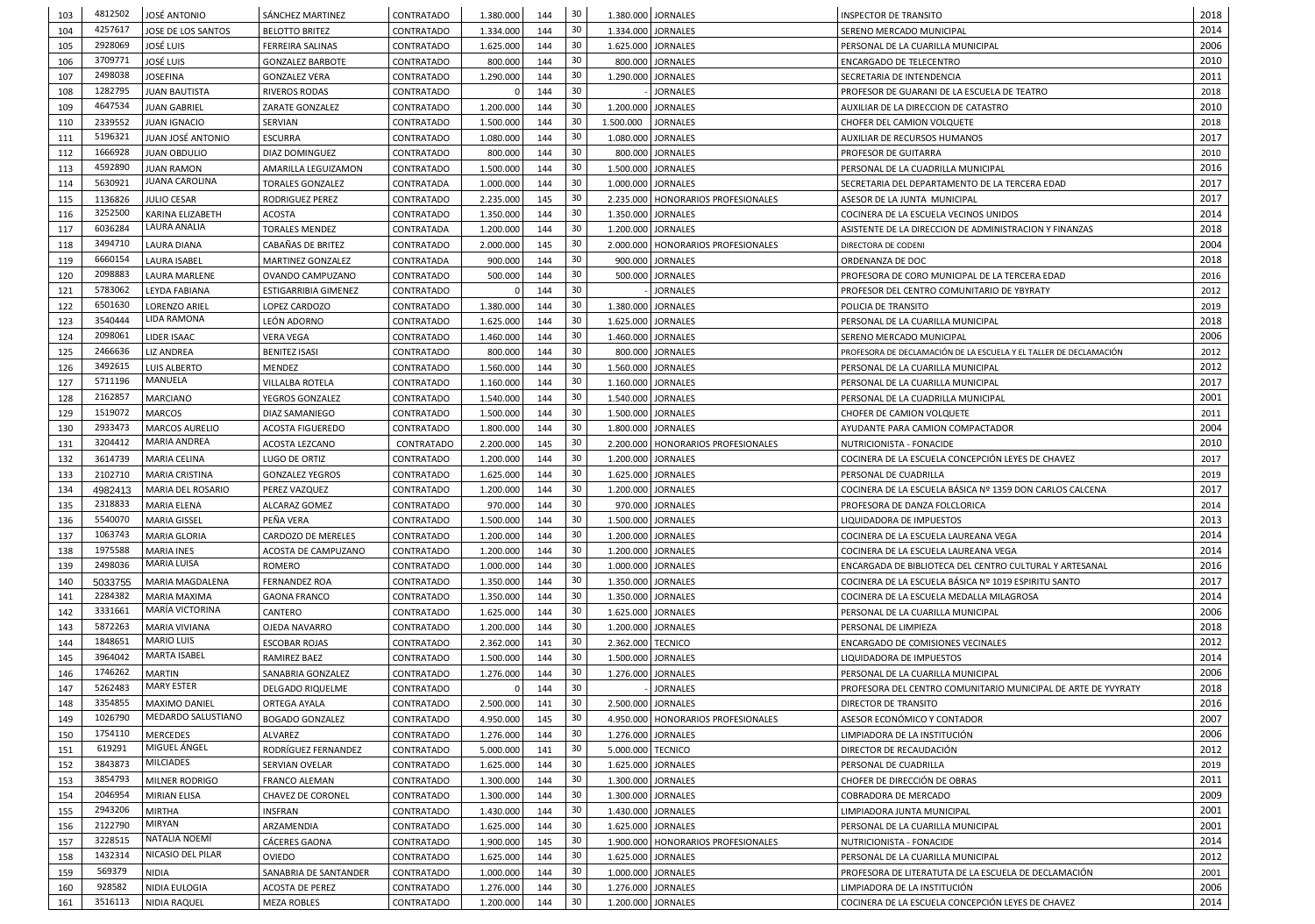| 103 | 4812502 | JOSÉ ANTONIO                               | SÁNCHEZ MARTINEZ            | CONTRATADO        | 1.380.000 | 144 | 30 |           | 1.380.000 JORNALES<br><b>INSPECTOR DE TRANSITO</b>                             |                                                                   |              |  |  |
|-----|---------|--------------------------------------------|-----------------------------|-------------------|-----------|-----|----|-----------|--------------------------------------------------------------------------------|-------------------------------------------------------------------|--------------|--|--|
| 104 | 4257617 | JOSE DE LOS SANTOS                         | <b>BELOTTO BRITEZ</b>       | CONTRATADO        | 1.334.000 | 144 | 30 |           | 1.334.000 JORNALES                                                             | SERENO MERCADO MUNICIPAL                                          | 2014         |  |  |
| 105 | 2928069 | <b>JOSÉ LUIS</b>                           | FERREIRA SALINAS            | CONTRATADO        | 1.625.000 | 144 | 30 |           | 1.625.000 JORNALES                                                             | PERSONAL DE LA CUARILLA MUNICIPAL                                 | 2006         |  |  |
| 106 | 3709771 | <b>JOSÉ LUIS</b>                           | <b>GONZALEZ BARBOTE</b>     | CONTRATADO        | 800.000   | 144 | 30 |           | 800.000 JORNALES                                                               | <b>ENCARGADO DE TELECENTRO</b>                                    | 2010         |  |  |
| 107 | 2498038 | <b>JOSEFINA</b>                            | <b>GONZALEZ VERA</b>        | CONTRATADO        | 1.290.000 | 144 | 30 |           | 1.290.000 JORNALES<br>SECRETARIA DE INTENDENCIA                                |                                                                   |              |  |  |
| 108 | 1282795 | <b>JUAN BAUTISTA</b>                       | <b>RIVEROS RODAS</b>        | CONTRATADO        |           | 144 | 30 |           | <b>JORNALES</b><br>PROFESOR DE GUARANI DE LA ESCUELA DE TEATRO                 |                                                                   |              |  |  |
| 109 | 4647534 | <b>JUAN GABRIEL</b>                        | ZARATE GONZALEZ             | CONTRATADO        | 1.200.000 | 144 | 30 |           | 1.200.000 JORNALES                                                             | AUXILIAR DE LA DIRECCION DE CATASTRO                              | 2018<br>2010 |  |  |
| 110 | 2339552 | <b>JUAN IGNACIO</b>                        | SERVIAN                     | CONTRATADO        | 1.500.000 | 144 | 30 | 1.500.000 | <b>JORNALES</b>                                                                |                                                                   |              |  |  |
|     | 5196321 | JUAN JOSÉ ANTONIO                          |                             |                   |           | 144 | 30 |           | CHOFER DEL CAMION VOLQUETE                                                     |                                                                   | 2018<br>2017 |  |  |
| 111 | 1666928 |                                            | <b>ESCURRA</b>              | <b>CONTRATADO</b> | 1.080.000 |     | 30 |           | 1.080.000 JORNALES                                                             | AUXILIAR DE RECURSOS HUMANOS                                      |              |  |  |
| 112 | 4592890 | <b>JUAN OBDULIO</b>                        | DIAZ DOMINGUEZ              | CONTRATADO        | 800.000   | 144 |    |           | 800.000 JORNALES<br>PROFESOR DE GUITARRA                                       |                                                                   | 2010         |  |  |
| 113 |         | <b>JUAN RAMON</b><br><b>JUANA CAROLINA</b> | AMARILLA LEGUIZAMON         | CONTRATADO        | 1.500.000 | 144 | 30 |           | 1.500.000 JORNALES                                                             | PERSONAL DE LA CUADRILLA MUNICIPAL                                | 2016         |  |  |
| 114 | 5630921 |                                            | <b>TORALES GONZALEZ</b>     | CONTRATADA        | 1.000.000 | 144 | 30 |           | 1.000.000 JORNALES                                                             | SECRETARIA DEL DEPARTAMENTO DE LA TERCERA EDAD                    | 2017         |  |  |
| 115 | 1136826 | <b>JULIO CESAR</b>                         | RODRIGUEZ PEREZ             | CONTRATADO        | 2.235.000 | 145 | 30 |           | 2.235.000   HONORARIOS PROFESIONALES                                           | ASESOR DE LA JUNTA MUNICIPAL                                      | 2017         |  |  |
| 116 | 3252500 | KARINA ELIZABETH                           | ACOSTA                      | CONTRATADO        | 1.350.000 | 144 | 30 |           | 1.350.000 JORNALES                                                             | COCINERA DE LA ESCUELA VECINOS UNIDOS                             | 2014         |  |  |
| 117 | 6036284 | LAURA ANALIA                               | <b>TORALES MENDEZ</b>       | CONTRATADA        | 1.200.000 | 144 | 30 |           | 1.200.000 JORNALES                                                             | ASISTENTE DE LA DIRECCION DE ADMINISTRACION Y FINANZAS            | 2018         |  |  |
| 118 | 3494710 | <b>LAURA DIANA</b>                         | CABAÑAS DE BRITEZ           | CONTRATADO        | 2.000.000 | 145 | 30 |           | 2.000.000   HONORARIOS PROFESIONALES                                           | DIRECTORA DE CODENI                                               | 2004         |  |  |
| 119 | 6660154 | <b>LAURA ISABEL</b>                        | <b>MARTINEZ GONZALEZ</b>    | CONTRATADA        | 900.000   | 144 | 30 |           | 900.000 JORNALES<br>ORDENANZA DE DOC                                           |                                                                   | 2018         |  |  |
| 120 | 2098883 | LAURA MARLENE                              | OVANDO CAMPUZANO            | CONTRATADO        | 500.000   | 144 | 30 |           | 500.000 JORNALES                                                               | PROFESORA DE CORO MUNICIPAL DE LA TERCERA EDAD                    | 2016         |  |  |
| 121 | 5783062 | LEYDA FABIANA                              | <b>ESTIGARRIBIA GIMENEZ</b> | CONTRATADO        |           | 144 | 30 |           | <b>JORNALES</b>                                                                | PROFESOR DEL CENTRO COMUNITARIO DE YBYRATY                        | 2012         |  |  |
| 122 | 6501630 | <b>LORENZO ARIEL</b>                       | LOPEZ CARDOZO               | CONTRATADO        | 1.380.000 | 144 | 30 |           | 1.380.000 JORNALES<br>POLICIA DE TRANSITO                                      |                                                                   | 2019         |  |  |
| 123 | 3540444 | LIDA RAMONA                                | LEÓN ADORNO                 | <b>CONTRATADO</b> | 1.625.000 | 144 | 30 |           | 1.625.000 JORNALES<br>PERSONAL DE LA CUARILLA MUNICIPAL                        |                                                                   | 2018         |  |  |
| 124 | 2098061 | LIDER ISAAC                                | VERA VEGA                   | CONTRATADO        | 1.460.000 | 144 | 30 |           | 1.460.000 JORNALES                                                             | SERENO MERCADO MUNICIPAL                                          | 2006         |  |  |
| 125 | 2466636 | <b>LIZ ANDREA</b>                          | <b>BENITEZ ISASI</b>        | CONTRATADO        | 800.000   | 144 | 30 |           | 800.000 JORNALES                                                               | PROFESORA DE DECLAMACIÓN DE LA ESCUELA Y EL TALLER DE DECLAMACIÓN | 2012         |  |  |
| 126 | 3492615 | <b>LUIS ALBERTO</b>                        | <b>MENDEZ</b>               | CONTRATADO        | 1.560.000 | 144 | 30 |           | 1.560.000 JORNALES                                                             | PERSONAL DE LA CUARILLA MUNICIPAL                                 | 2012         |  |  |
| 127 | 5711196 | MANUELA                                    | <b>VILLALBA ROTELA</b>      | CONTRATADO        | 1.160.000 | 144 | 30 |           | 1.160.000 JORNALES                                                             | PERSONAL DE LA CUARILLA MUNICIPAL                                 | 2017         |  |  |
| 128 | 2162857 | <b>MARCIANO</b>                            | YEGROS GONZALEZ             | CONTRATADO        | 1.540.000 | 144 | 30 |           | 1.540.000 JORNALES                                                             | PERSONAL DE LA CUADRILLA MUNICIPAL                                | 2001         |  |  |
| 129 | 1519072 | <b>MARCOS</b>                              | <b>DIAZ SAMANIEGO</b>       | CONTRATADO        | 1.500.000 | 144 | 30 |           | 1.500.000 JORNALES                                                             | CHOFER DE CAMION VOLQUETE                                         | 2011         |  |  |
| 130 | 2933473 | <b>MARCOS AURELIO</b>                      | <b>ACOSTA FIGUEREDO</b>     | CONTRATADO        | 1.800.000 | 144 | 30 |           | 1.800.000 JORNALES                                                             | AYUDANTE PARA CAMION COMPACTADOR                                  | 2004         |  |  |
| 131 | 3204412 | <b>MARIA ANDREA</b>                        | ACOSTA LEZCANO              | CONTRATADO        | 2.200.000 | 145 | 30 |           | 2.200.000   HONORARIOS PROFESIONALES<br>NUTRICIONISTA - FONACIDE               |                                                                   | 2010         |  |  |
| 132 | 3614739 | <b>MARIA CELINA</b>                        | LUGO DE ORTIZ               | CONTRATADO        | 1.200.000 | 144 | 30 |           | 1.200.000 JORNALES<br>COCINERA DE LA ESCUELA CONCEPCIÓN LEYES DE CHAVEZ        |                                                                   | 2017         |  |  |
| 133 | 2102710 | MARIA CRISTINA                             | <b>GONZALEZ YEGROS</b>      | CONTRATADO        | 1.625.000 | 144 | 30 |           | 1.625.000 JORNALES<br>PERSONAL DE CUADRILLA                                    |                                                                   | 2019         |  |  |
| 134 | 4982413 | MARIA DEL ROSARIO                          | PEREZ VAZQUEZ               | CONTRATADO        | 1.200.000 | 144 | 30 |           | 1.200.000 JORNALES<br>COCINERA DE LA ESCUELA BÁSICA Nº 1359 DON CARLOS CALCENA |                                                                   | 2017         |  |  |
| 135 | 2318833 | <b>MARIA ELENA</b>                         | ALCARAZ GOMEZ               | CONTRATADO        | 970.000   | 144 | 30 |           | 970.000 JORNALES                                                               |                                                                   | 2014         |  |  |
|     | 5540070 |                                            | PEÑA VERA                   |                   |           | 144 | 30 |           | 1.500.000 JORNALES                                                             | PROFESORA DE DANZA FOLCLORICA                                     | 2013         |  |  |
| 136 | 1063743 | <b>MARIA GISSEL</b>                        |                             | CONTRATADO        | 1.500.000 |     | 30 |           |                                                                                | LIQUIDADORA DE IMPUESTOS                                          |              |  |  |
| 137 | 1975588 | <b>MARIA GLORIA</b>                        | CARDOZO DE MERELES          | CONTRATADO        | 1.200.000 | 144 |    |           | 1.200.000 JORNALES                                                             | COCINERA DE LA ESCUELA LAUREANA VEGA                              | 2014         |  |  |
| 138 |         | <b>MARIA INES</b><br><b>MARIA LUISA</b>    | ACOSTA DE CAMPUZANO         | CONTRATADO        | 1.200.000 | 144 | 30 |           | 1.200.000 JORNALES                                                             | COCINERA DE LA ESCUELA LAUREANA VEGA                              | 2014         |  |  |
| 139 | 2498036 |                                            | ROMERO                      | CONTRATADO        | 1.000.000 | 144 | 30 |           | 1.000.000 JORNALES                                                             | ENCARGADA DE BIBLIOTECA DEL CENTRO CULTURAL Y ARTESANAL           | 2016         |  |  |
| 140 | 5033755 | MARIA MAGDALENA                            | FERNANDEZ ROA               | CONTRATADO        | 1.350.000 | 144 | 30 |           | 1.350.000 JORNALES                                                             | COCINERA DE LA ESCUELA BÁSICA Nº 1019 ESPIRITU SANTO              | 2017         |  |  |
| 141 | 2284382 | <b>MARIA MAXIMA</b>                        | <b>GAONA FRANCO</b>         | <b>CONTRATADO</b> | 1.350.000 | 144 | 30 |           | 1.350.000 JORNALES                                                             | COCINERA DE LA ESCUELA MEDALLA MILAGROSA                          | 2014         |  |  |
| 142 | 3331661 | MARÍA VICTORINA                            | CANTERO                     | CONTRATADO        | 1.625.000 | 144 | 30 |           | 1.625.000 JORNALES                                                             | PERSONAL DE LA CUARILLA MUNICIPAL                                 | 2006         |  |  |
| 143 | 5872263 | <b>MARIA VIVIANA</b>                       | OJEDA NAVARRO               | CONTRATADO        | 1.200.000 | 144 | 30 |           | 1.200.000 JORNALES<br>PERSONAL DE LIMPIEZA                                     |                                                                   | 2018         |  |  |
| 144 | 1848651 | <b>MARIO LUIS</b>                          | <b>ESCOBAR ROJAS</b>        | CONTRATADO        | 2.362.000 | 141 | 30 |           | 2.362.000 TECNICO<br>ENCARGADO DE COMISIONES VECINALES                         |                                                                   | 2012         |  |  |
| 145 | 3964042 | MARTA ISABEL                               | RAMIREZ BAEZ                | CONTRATADO        | 1.500.000 | 144 | 30 |           | 1.500.000 JORNALES<br>LIQUIDADORA DE IMPUESTOS                                 |                                                                   | 2014         |  |  |
| 146 | 1746262 | <b>MARTIN</b>                              | SANABRIA GONZALEZ           | <b>CONTRATADO</b> | 1.276.000 | 144 | 30 |           | 1.276.000 JORNALES<br>PERSONAL DE LA CUARILLA MUNICIPAL                        |                                                                   | 2006         |  |  |
| 147 | 5262483 | <b>MARY ESTER</b>                          | <b>DELGADO RIQUELME</b>     | CONTRATADO        |           | 144 | 30 |           | <b>JORNALES</b>                                                                | PROFESORA DEL CENTRO COMUNITARIO MUNICIPAL DE ARTE DE YVYRATY     | 2018         |  |  |
| 148 | 3354855 | <b>MAXIMO DANIEL</b>                       | ORTEGA AYALA                | CONTRATADO        | 2.500.000 | 141 | 30 |           | 2.500.000 JORNALES                                                             | DIRECTOR DE TRANSITO                                              | 2016         |  |  |
| 149 | 1026790 | MEDARDO SALUSTIANO                         | <b>BOGADO GONZALEZ</b>      | CONTRATADO        | 4.950.000 | 145 | 30 |           | 4.950.000   HONORARIOS PROFESIONALES                                           | ASESOR ECONÓMICO Y CONTADOR                                       | 2007         |  |  |
| 150 | 1754110 | <b>MERCEDES</b>                            | ALVAREZ                     | CONTRATADO        | 1.276.000 | 144 | 30 |           | 1.276.000 JORNALES                                                             | LIMPIADORA DE LA INSTITUCIÓN                                      | 2006         |  |  |
| 151 | 619291  | MIGUEL ÁNGEL                               | RODRÍGUEZ FERNANDEZ         | CONTRATADO        | 5.000.000 | 141 | 30 |           | 5.000.000 TECNICO                                                              | DIRECTOR DE RECAUDACIÓN                                           | 2012         |  |  |
| 152 | 3843873 | <b>MILCIADES</b>                           | SERVIAN OVELAR              | <b>CONTRATADO</b> | 1.625.000 | 144 | 30 |           | 1.625.000 JORNALES                                                             | PERSONAL DE CUADRILLA                                             | 2019         |  |  |
| 153 | 3854793 | MILNER RODRIGO                             | <b>FRANCO ALEMAN</b>        | CONTRATADO        | 1.300.000 | 144 | 30 |           | 1.300.000 JORNALES                                                             | CHOFER DE DIRECCIÓN DE OBRAS                                      | 2011         |  |  |
| 154 | 2046954 | <b>MIRIAN ELISA</b>                        | <b>CHAVEZ DE CORONEL</b>    | CONTRATADO        | 1.300.000 | 144 | 30 |           | 1.300.000 JORNALES                                                             | COBRADORA DE MERCADO                                              | 2009         |  |  |
| 155 | 2943206 | <b>MIRTHA</b>                              | <b>INSFRAN</b>              | CONTRATADO        | 1.430.000 | 144 | 30 |           | 1.430.000 JORNALES                                                             | LIMPIADORA JUNTA MUNICIPAL                                        | 2001         |  |  |
| 156 | 2122790 | MIRYAN                                     | ARZAMENDIA                  | CONTRATADO        | 1.625.000 | 144 | 30 |           | 1.625.000 JORNALES                                                             | PERSONAL DE LA CUARILLA MUNICIPAL                                 | 2001         |  |  |
| 157 | 3228515 | NATALIA NOEMÍ                              | CÁCERES GAONA               | CONTRATADO        | 1.900.000 | 145 | 30 |           | 1.900.000   HONORARIOS PROFESIONALES                                           | NUTRICIONISTA - FONACIDE                                          | 2014         |  |  |
| 158 | 1432314 | NICASIO DEL PILAR                          | <b>OVIEDO</b>               | CONTRATADO        | 1.625.000 | 144 | 30 |           | 1.625.000 JORNALES                                                             | PERSONAL DE LA CUARILLA MUNICIPAL                                 | 2012         |  |  |
|     | 569379  | <b>NIDIA</b>                               |                             |                   |           |     | 30 |           | 1.000.000 JORNALES                                                             |                                                                   |              |  |  |
| 159 | 928582  |                                            | SANABRIA DE SANTANDER       | CONTRATADO        | 1.000.000 | 144 | 30 |           |                                                                                | PROFESORA DE LITERATUTA DE LA ESCUELA DE DECLAMACIÓN              | 2001<br>2006 |  |  |
| 160 |         | NIDIA EULOGIA                              | ACOSTA DE PEREZ             | CONTRATADO        | 1.276.000 | 144 |    |           | 1.276.000 JORNALES                                                             | LIMPIADORA DE LA INSTITUCIÓN                                      |              |  |  |
| 161 |         | 3516113   NIDIA RAQUEL                     | <b>MEZA ROBLES</b>          | CONTRATADO        | 1.200.000 | 144 | 30 |           | 1.200.000 JORNALES                                                             | COCINERA DE LA ESCUELA CONCEPCIÓN LEYES DE CHAVEZ                 | 2014         |  |  |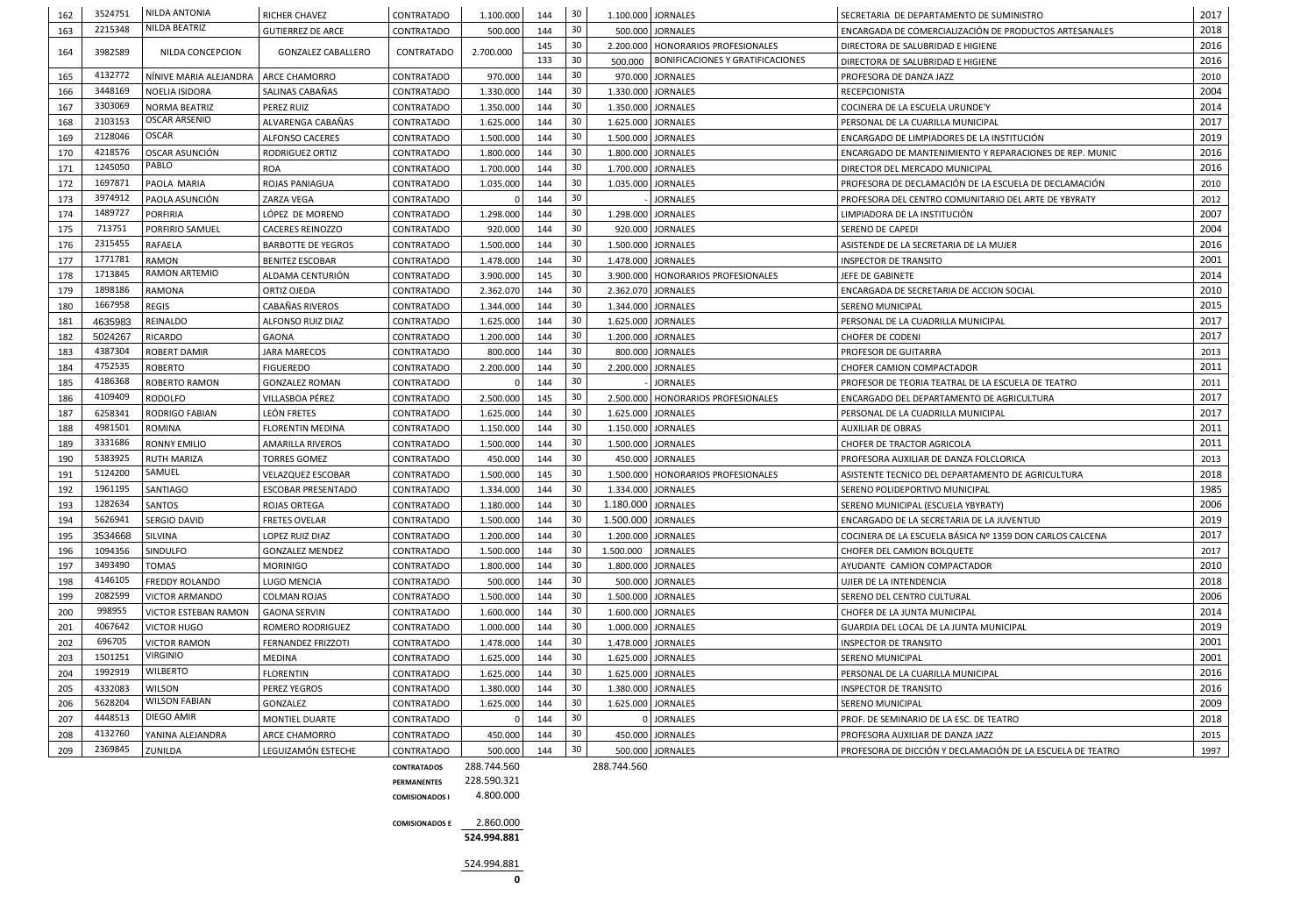| 162 | 3524751 | NILDA ANTONIA               | <b>RICHER CHAVEZ</b>      | CONTRATADO         | 1.100.000   | 144 | 30  |                    | 1.100.000 JORNALES<br>SECRETARIA DE DEPARTAMENTO DE SUMINISTRO                    |                                                            |      |
|-----|---------|-----------------------------|---------------------------|--------------------|-------------|-----|-----|--------------------|-----------------------------------------------------------------------------------|------------------------------------------------------------|------|
| 163 | 2215348 | NILDA BEATRIZ               | <b>GUTIERREZ DE ARCE</b>  | CONTRATADO         | 500.000     | 144 | 30  |                    | 500.000 JORNALES                                                                  | ENCARGADA DE COMERCIALIZACIÓN DE PRODUCTOS ARTESANALES     | 2018 |
|     |         |                             |                           |                    |             | 145 | 30  |                    | 2.200.000   HONORARIOS PROFESIONALES                                              | DIRECTORA DE SALUBRIDAD E HIGIENE                          | 2016 |
| 164 | 3982589 | NILDA CONCEPCION            | <b>GONZALEZ CABALLERO</b> | CONTRATADO         | 2.700.000   | 133 | 30  | 500.000            | BONIFICACIONES Y GRATIFICACIONES                                                  | DIRECTORA DE SALUBRIDAD E HIGIENE                          | 2016 |
| 165 | 4132772 | NÍNIVE MARIA ALEJANDRA      | <b>ARCE CHAMORRO</b>      | CONTRATADO         | 970.000     | 144 | 30  |                    | 970.000 JORNALES                                                                  | PROFESORA DE DANZA JAZZ                                    |      |
| 166 | 3448169 | NOELIA ISIDORA              | SALINAS CABAÑAS           | CONTRATADO         | 1.330.000   | 144 | 30  |                    | 1.330.000 JORNALES                                                                | <b>RECEPCIONISTA</b>                                       | 2004 |
| 167 | 3303069 | <b>NORMA BEATRIZ</b>        | <b>PEREZ RUIZ</b>         | CONTRATADO         | 1.350.000   | 144 | 30  |                    | 1.350.000 JORNALES                                                                | COCINERA DE LA ESCUELA URUNDE'Y                            | 2014 |
| 168 | 2103153 | <b>OSCAR ARSENIO</b>        | ALVARENGA CABAÑAS         | CONTRATADO         | 1.625.000   | 144 | 30  |                    | 1.625.000 JORNALES                                                                | PERSONAL DE LA CUARILLA MUNICIPAL                          | 2017 |
| 169 | 2128046 | <b>OSCAR</b>                | <b>ALFONSO CACERES</b>    | <b>CONTRATADO</b>  | 1.500.000   | 144 | 30  |                    | 1.500.000 JORNALES<br>ENCARGADO DE LIMPIADORES DE LA INSTITUCIÓN                  |                                                            | 2019 |
| 170 | 4218576 | OSCAR ASUNCIÓN              | RODRIGUEZ ORTIZ           | CONTRATADO         | 1.800.000   | 144 | 30  |                    | 1.800.000 JORNALES<br>ENCARGADO DE MANTENIMIENTO Y REPARACIONES DE REP. MUNIC     |                                                            | 2016 |
| 171 | 1245050 | PABLO                       | <b>ROA</b>                | CONTRATADO         | 1.700.000   | 144 | 30  |                    | 1.700.000 JORNALES                                                                | DIRECTOR DEL MERCADO MUNICIPAL                             | 2016 |
| 172 | 1697871 | PAOLA MARIA                 | <b>ROJAS PANIAGUA</b>     | CONTRATADO         | 1.035.000   | 144 | 30  |                    | 1.035.000 JORNALES                                                                | PROFESORA DE DECLAMACIÓN DE LA ESCUELA DE DECLAMACIÓN      | 2010 |
| 173 | 3974912 | PAOLA ASUNCIÓN              | <b>ZARZA VEGA</b>         | CONTRATADO         |             | 144 | 30  |                    | <b>JORNALES</b>                                                                   | PROFESORA DEL CENTRO COMUNITARIO DEL ARTE DE YBYRATY       | 2012 |
| 174 | 1489727 | <b>PORFIRIA</b>             | LÓPEZ DE MORENO           | <b>CONTRATADO</b>  | 1.298.000   | 144 | 30  |                    | 1.298.000 JORNALES                                                                | LIMPIADORA DE LA INSTITUCIÓN                               | 2007 |
| 175 | 713751  | PORFIRIO SAMUEL             | <b>CACERES REINOZZO</b>   | CONTRATADO         | 920.000     | 144 | 30  |                    | 920.000 JORNALES                                                                  | SERENO DE CAPEDI                                           | 2004 |
| 176 | 2315455 | RAFAELA                     | <b>BARBOTTE DE YEGROS</b> | CONTRATADO         | 1.500.000   | 144 | 30  |                    | 1.500.000 JORNALES                                                                | ASISTENDE DE LA SECRETARIA DE LA MUJER                     | 2016 |
| 177 | 1771781 | <b>RAMON</b>                | <b>BENITEZ ESCOBAR</b>    | CONTRATADO         | 1.478.000   | 144 | 30  |                    | 1.478.000 JORNALES                                                                | <b>INSPECTOR DE TRANSITO</b>                               | 2001 |
| 178 | 1713845 | <b>RAMON ARTEMIO</b>        | ALDAMA CENTURIÓN          | CONTRATADO         | 3.900.000   | 145 | 30  |                    | 3.900.000   HONORARIOS PROFESIONALES                                              | JEFE DE GABINETE                                           | 2014 |
| 179 | 1898186 | RAMONA                      | <b>ORTIZ OJEDA</b>        | CONTRATADO         | 2.362.070   | 144 | 30  |                    | 2.362.070 JORNALES                                                                | ENCARGADA DE SECRETARIA DE ACCION SOCIAL                   | 2010 |
| 180 | 1667958 | <b>REGIS</b>                | CABAÑAS RIVEROS           | CONTRATADO         | 1.344.000   | 144 | 30  |                    | 1.344.000 JORNALES                                                                | <b>SERENO MUNICIPAL</b>                                    | 2015 |
| 181 | 4635983 | REINALDO                    | <b>ALFONSO RUIZ DIAZ</b>  | <b>CONTRATADO</b>  | 1.625.000   | 144 | 30  |                    | 1.625.000 JORNALES                                                                | PERSONAL DE LA CUADRILLA MUNICIPAL                         | 2017 |
| 182 | 5024267 | <b>RICARDO</b>              | <b>GAONA</b>              | CONTRATADO         | 1.200.000   | 144 | 30  |                    | 1.200.000 JORNALES                                                                | <b>CHOFER DE CODENI</b>                                    | 2017 |
| 183 | 4387304 | <b>ROBERT DAMIR</b>         | <b>JARA MARECOS</b>       | CONTRATADO         | 800.000     | 144 | 30  |                    | 800.000 JORNALES                                                                  | PROFESOR DE GUITARRA                                       | 2013 |
| 184 | 4752535 | <b>ROBERTO</b>              | <b>FIGUEREDO</b>          | CONTRATADO         | 2.200.000   | 144 | 30  |                    | 2.200.000 JORNALES                                                                | CHOFER CAMION COMPACTADOR                                  | 2011 |
| 185 | 4186368 | ROBERTO RAMON               | <b>GONZALEZ ROMAN</b>     | CONTRATADO         |             | 144 | 30  |                    | <b>JORNALES</b>                                                                   | PROFESOR DE TEORIA TEATRAL DE LA ESCUELA DE TEATRO         |      |
| 186 | 4109409 | <b>RODOLFO</b>              | VILLASBOA PÉREZ           | CONTRATADO         | 2.500.000   | 145 | 30  |                    | 2.500.000   HONORARIOS PROFESIONALES<br>ENCARGADO DEL DEPARTAMENTO DE AGRICULTURA |                                                            | 2017 |
| 187 | 6258341 | <b>RODRIGO FABIAN</b>       | LEÓN FRETES               | CONTRATADO         | 1.625.000   | 144 | 30  |                    | 1.625.000 JORNALES                                                                | PERSONAL DE LA CUADRILLA MUNICIPAL                         | 2017 |
| 188 | 4981501 | ROMINA                      | <b>FLORENTIN MEDINA</b>   | CONTRATADO         | 1.150.000   | 144 | 30  |                    | 1.150.000 JORNALES                                                                | <b>AUXILIAR DE OBRAS</b>                                   | 2011 |
| 189 | 3331686 | <b>RONNY EMILIO</b>         | AMARILLA RIVEROS          | <b>CONTRATADO</b>  | 1.500.000   | 144 | 30  |                    | 1.500.000 JORNALES                                                                | CHOFER DE TRACTOR AGRICOLA                                 | 2011 |
| 190 | 5383925 | <b>RUTH MARIZA</b>          | <b>TORRES GOMEZ</b>       | CONTRATADO         | 450.000     | 144 | 30  |                    | 450.000 JORNALES                                                                  | PROFESORA AUXILIAR DE DANZA FOLCLORICA                     | 2013 |
| 191 | 5124200 | SAMUEL                      | <b>VELAZQUEZ ESCOBAR</b>  | CONTRATADO         | 1.500.000   | 145 | -30 |                    | 1.500.000 HONORARIOS PROFESIONALES                                                | ASISTENTE TECNICO DEL DEPARTAMENTO DE AGRICULTURA          | 2018 |
| 192 | 1961195 | SANTIAGO                    | <b>ESCOBAR PRESENTADO</b> | CONTRATADO         | 1.334.000   | 144 | -30 |                    | 1.334.000 JORNALES                                                                | SERENO POLIDEPORTIVO MUNICIPAL                             | 1985 |
| 193 | 1282634 | <b>SANTOS</b>               | <b>ROJAS ORTEGA</b>       | CONTRATADO         | 1.180.000   | 144 | 30  | 1.180.000 JORNALES |                                                                                   | SERENO MUNICIPAL (ESCUELA YBYRATY)                         | 2006 |
| 194 | 5626941 | SERGIO DAVID                | <b>FRETES OVELAR</b>      | CONTRATADO         | 1.500.000   | 144 | -30 |                    | 1.500.000 JORNALES                                                                | ENCARGADO DE LA SECRETARIA DE LA JUVENTUD                  | 2019 |
| 195 | 3534668 | SILVINA                     | LOPEZ RUIZ DIAZ           | CONTRATADO         | 1.200.000   | 144 | 30  |                    | 1.200.000 JORNALES                                                                | COCINERA DE LA ESCUELA BÁSICA Nº 1359 DON CARLOS CALCENA   | 2017 |
| 196 | 1094356 | SINDULFO                    | <b>GONZALEZ MENDEZ</b>    | CONTRATADO         | 1.500.000   | 144 | 30  | 1.500.000          | <b>JORNALES</b>                                                                   | CHOFER DEL CAMION BOLQUETE                                 | 2017 |
| 197 | 3493490 | <b>TOMAS</b>                | <b>MORINIGO</b>           | CONTRATADO         | 1.800.000   | 144 | 30  |                    | 1.800.000 JORNALES                                                                | AYUDANTE CAMION COMPACTADOR                                | 2010 |
| 198 | 4146105 | FREDDY ROLANDO              | LUGO MENCIA               | CONTRATADO         | 500.000     | 144 | 30  |                    | 500.000 JORNALES                                                                  | UJIER DE LA INTENDENCIA                                    | 2018 |
| 199 | 2082599 | <b>VICTOR ARMANDO</b>       | <b>COLMAN ROJAS</b>       | CONTRATADO         | 1.500.000   | 144 | 30  |                    | 1.500.000 JORNALES                                                                | SERENO DEL CENTRO CULTURAL                                 | 2006 |
| 200 | 998955  | <b>VICTOR ESTEBAN RAMON</b> | <b>GAONA SERVIN</b>       | CONTRATADO         | 1.600.000   | 144 | 30  |                    | 1.600.000 JORNALES                                                                | CHOFER DE LA JUNTA MUNICIPAL                               | 2014 |
| 201 | 4067642 | <b>VICTOR HUGO</b>          | <b>ROMERO RODRIGUEZ</b>   | CONTRATADO         | 1.000.000   | 144 | -30 |                    | 1.000.000 JORNALES                                                                | GUARDIA DEL LOCAL DE LA JUNTA MUNICIPAL                    | 2019 |
| 202 | 696705  | <b>VICTOR RAMON</b>         | <b>FERNANDEZ FRIZZOTI</b> | CONTRATADO         | 1.478.000   | 144 | 30  |                    | 1.478.000 JORNALES                                                                | <b>INSPECTOR DE TRANSITO</b>                               | 2001 |
| 203 | 1501251 | <b>VIRGINIO</b>             | MEDINA                    | CONTRATADO         | 1.625.000   | 144 | 30  |                    | 1.625.000 JORNALES                                                                | SERENO MUNICIPAL                                           | 2001 |
| 204 | 1992919 | <b>WILBERTO</b>             | <b>FLORENTIN</b>          | CONTRATADO         | 1.625.000   | 144 | -30 |                    | 1.625.000 JORNALES                                                                | PERSONAL DE LA CUARILLA MUNICIPAL                          | 2016 |
| 205 | 4332083 | <b>WILSON</b>               | PEREZ YEGROS              | CONTRATADO         | 1.380.000   | 144 | 30  |                    | 1.380.000 JORNALES                                                                | <b>INSPECTOR DE TRANSITO</b>                               | 2016 |
| 206 | 5628204 | <b>WILSON FABIAN</b>        | GONZALEZ                  | CONTRATADO         | 1.625.000   | 144 | -30 |                    | 1.625.000 JORNALES                                                                | SERENO MUNICIPAL                                           | 2009 |
| 207 | 4448513 | <b>DIEGO AMIR</b>           | MONTIEL DUARTE            | CONTRATADO         |             | 144 | 30  |                    | 0 JORNALES                                                                        | PROF. DE SEMINARIO DE LA ESC. DE TEATRO                    | 2018 |
| 208 | 4132760 | YANINA ALEJANDRA            | <b>ARCE CHAMORRO</b>      | CONTRATADO         | 450.000     | 144 | 30  |                    | 450.000 JORNALES                                                                  | PROFESORA AUXILIAR DE DANZA JAZZ                           | 2015 |
| 209 | 2369845 | <b>ZUNILDA</b>              | LEGUIZAMÓN ESTECHE        | CONTRATADO         | 500.000     | 144 | 30  |                    | 500.000 JORNALES                                                                  | PROFESORA DE DICCIÓN Y DECLAMACIÓN DE LA ESCUELA DE TEATRO | 1997 |
|     |         |                             |                           | <b>CONTRATADOS</b> | 288.744.560 |     |     | 288.744.560        |                                                                                   |                                                            |      |



**COMISIONADOS E** 2.860.000

**524.994.881**